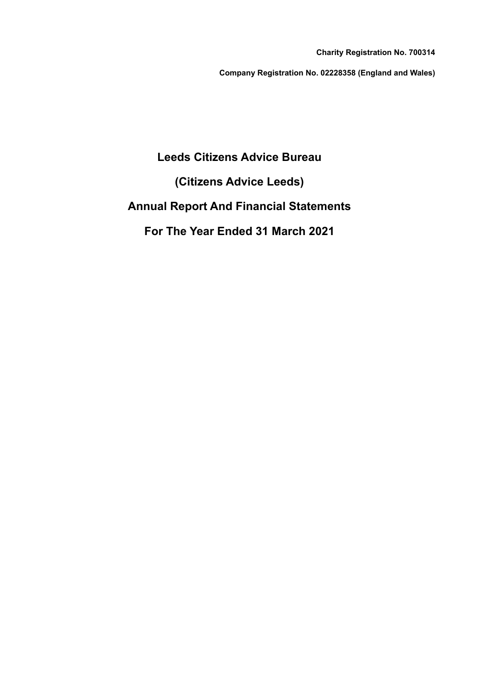**Charity Registration No. 700314**

**Company Registration No. 02228358 (England and Wales)**

# **Leeds Citizens Advice Bureau**

**(Citizens Advice Leeds)**

# **Annual Report And Financial Statements**

**For The Year Ended 31 March 2021**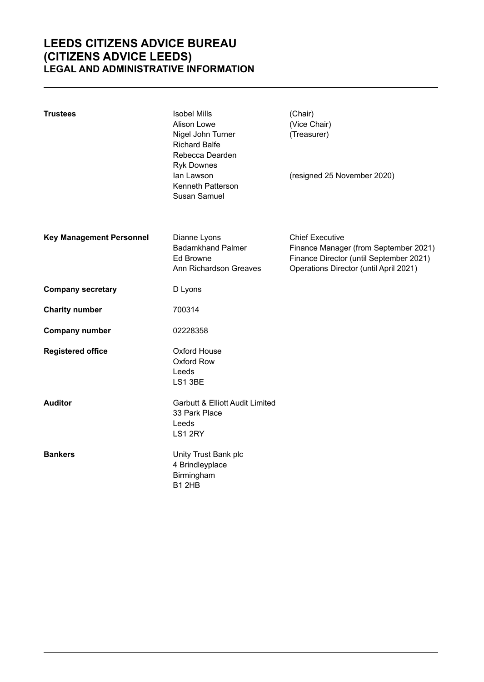# **LEEDS CITIZENS ADVICE BUREAU (CITIZENS ADVICE LEEDS) LEGAL AND ADMINISTRATIVE INFORMATION**

| <b>Trustees</b>                 | <b>Isobel Mills</b><br>Alison Lowe<br>Nigel John Turner<br><b>Richard Balfe</b><br>Rebecca Dearden<br><b>Ryk Downes</b><br>lan Lawson<br>Kenneth Patterson<br>Susan Samuel | (Chair)<br>(Vice Chair)<br>(Treasurer)<br>(resigned 25 November 2020)                                                                                |
|---------------------------------|----------------------------------------------------------------------------------------------------------------------------------------------------------------------------|------------------------------------------------------------------------------------------------------------------------------------------------------|
|                                 |                                                                                                                                                                            |                                                                                                                                                      |
| <b>Key Management Personnel</b> | Dianne Lyons<br><b>Badamkhand Palmer</b><br>Ed Browne<br>Ann Richardson Greaves                                                                                            | <b>Chief Executive</b><br>Finance Manager (from September 2021)<br>Finance Director (until September 2021)<br>Operations Director (until April 2021) |
| <b>Company secretary</b>        | D Lyons                                                                                                                                                                    |                                                                                                                                                      |
| <b>Charity number</b>           | 700314                                                                                                                                                                     |                                                                                                                                                      |
| <b>Company number</b>           | 02228358                                                                                                                                                                   |                                                                                                                                                      |
| <b>Registered office</b>        | <b>Oxford House</b><br>Oxford Row<br>Leeds<br>LS1 3BE                                                                                                                      |                                                                                                                                                      |
| <b>Auditor</b>                  | <b>Garbutt &amp; Elliott Audit Limited</b><br>33 Park Place<br>Leeds<br>LS1 2RY                                                                                            |                                                                                                                                                      |
| <b>Bankers</b>                  | Unity Trust Bank plc<br>4 Brindleyplace<br>Birmingham<br>B12HB                                                                                                             |                                                                                                                                                      |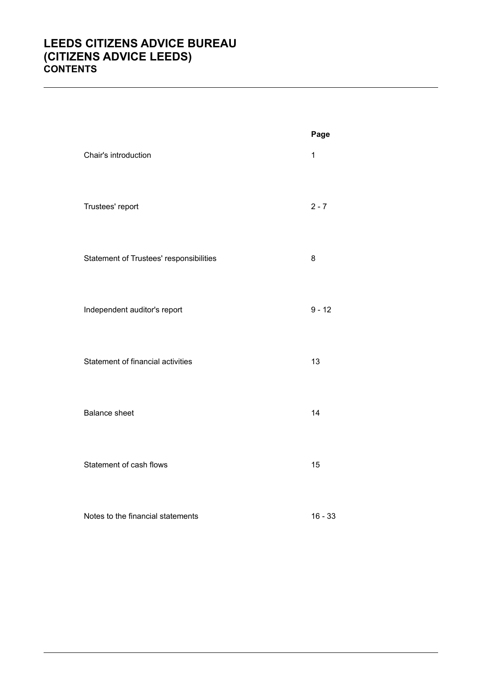# **LEEDS CITIZENS ADVICE BUREAU (CITIZENS ADVICE LEEDS) CONTENTS**

|                                         | Page        |
|-----------------------------------------|-------------|
| Chair's introduction                    | $\mathbf 1$ |
| Trustees' report                        | $2 - 7$     |
| Statement of Trustees' responsibilities | 8           |
| Independent auditor's report            | $9 - 12$    |
| Statement of financial activities       | 13          |
| <b>Balance sheet</b>                    | 14          |
| Statement of cash flows                 | 15          |
| Notes to the financial statements       | $16 - 33$   |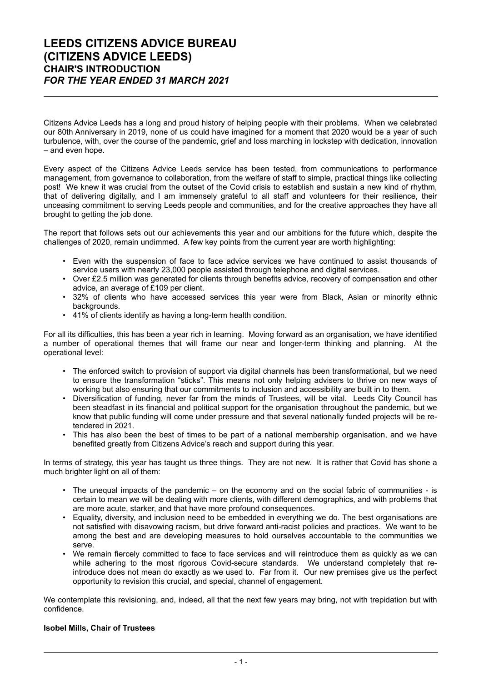Citizens Advice Leeds has a long and proud history of helping people with their problems. When we celebrated our 80th Anniversary in 2019, none of us could have imagined for a moment that 2020 would be a year of such turbulence, with, over the course of the pandemic, grief and loss marching in lockstep with dedication, innovation – and even hope.

Every aspect of the Citizens Advice Leeds service has been tested, from communications to performance management, from governance to collaboration, from the welfare of staff to simple, practical things like collecting post! We knew it was crucial from the outset of the Covid crisis to establish and sustain a new kind of rhythm, that of delivering digitally, and I am immensely grateful to all staff and volunteers for their resilience, their unceasing commitment to serving Leeds people and communities, and for the creative approaches they have all brought to getting the job done.

The report that follows sets out our achievements this year and our ambitions for the future which, despite the challenges of 2020, remain undimmed. A few key points from the current year are worth highlighting:

- Even with the suspension of face to face advice services we have continued to assist thousands of service users with nearly 23,000 people assisted through telephone and digital services.
- Over £2.5 million was generated for clients through benefits advice, recovery of compensation and other advice, an average of £109 per client.
- 32% of clients who have accessed services this year were from Black, Asian or minority ethnic backgrounds.
- 41% of clients identify as having a long-term health condition.

For all its difficulties, this has been a year rich in learning. Moving forward as an organisation, we have identified a number of operational themes that will frame our near and longer-term thinking and planning. At the operational level:

- The enforced switch to provision of support via digital channels has been transformational, but we need to ensure the transformation "sticks". This means not only helping advisers to thrive on new ways of working but also ensuring that our commitments to inclusion and accessibility are built in to them.
- Diversification of funding, never far from the minds of Trustees, will be vital. Leeds City Council has been steadfast in its financial and political support for the organisation throughout the pandemic, but we know that public funding will come under pressure and that several nationally funded projects will be retendered in 2021.
- This has also been the best of times to be part of a national membership organisation, and we have benefited greatly from Citizens Advice's reach and support during this year.

In terms of strategy, this year has taught us three things. They are not new. It is rather that Covid has shone a much brighter light on all of them:

- The unequal impacts of the pandemic on the economy and on the social fabric of communities is certain to mean we will be dealing with more clients, with different demographics, and with problems that are more acute, starker, and that have more profound consequences.
- Equality, diversity, and inclusion need to be embedded in everything we do. The best organisations are not satisfied with disavowing racism, but drive forward anti-racist policies and practices. We want to be among the best and are developing measures to hold ourselves accountable to the communities we serve.
- We remain fiercely committed to face to face services and will reintroduce them as quickly as we can while adhering to the most rigorous Covid-secure standards. We understand completely that reintroduce does not mean do exactly as we used to. Far from it. Our new premises give us the perfect opportunity to revision this crucial, and special, channel of engagement.

We contemplate this revisioning, and, indeed, all that the next few years may bring, not with trepidation but with confidence.

#### **Isobel Mills, Chair of Trustees**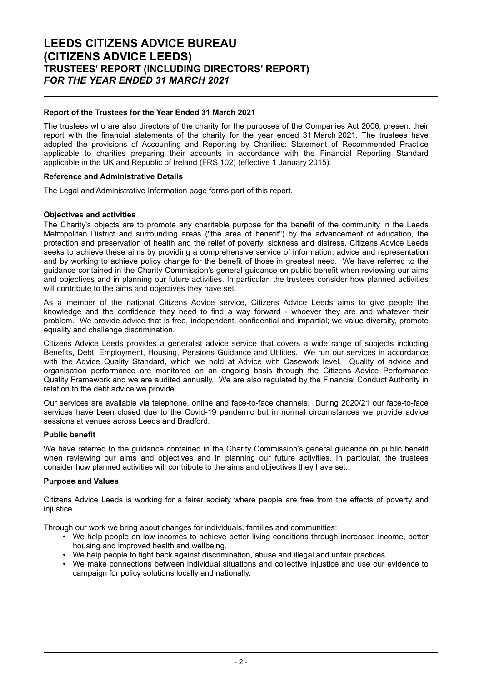# **LEEDS CITIZENS ADVICE BUREAU (CITIZENS ADVICE LEEDS) TRUSTEES' REPORT (INCLUDING DIRECTORS' REPORT)** *FOR THE YEAR ENDED 31 MARCH 2021*

## **Report of the Trustees for the Year Ended 31 March 2021**

The trustees who are also directors of the charity for the purposes of the Companies Act 2006, present their report with the financial statements of the charity for the year ended 31 March 2021. The trustees have adopted the provisions of Accounting and Reporting by Charities: Statement of Recommended Practice applicable to charities preparing their accounts in accordance with the Financial Reporting Standard applicable in the UK and Republic of Ireland (FRS 102) (effective 1 January 2015).

#### **Reference and Administrative Details**

The Legal and Administrative Information page forms part of this report.

### **Objectives and activities**

The Charity's objects are to promote any charitable purpose for the benefit of the community in the Leeds Metropolitan District and surrounding areas ("the area of benefit") by the advancement of education, the protection and preservation of health and the relief of poverty, sickness and distress. Citizens Advice Leeds seeks to achieve these aims by providing a comprehensive service of information, advice and representation and by working to achieve policy change for the benefit of those in greatest need. We have referred to the guidance contained in the Charity Commission's general guidance on public benefit when reviewing our aims and objectives and in planning our future activities. In particular, the trustees consider how planned activities will contribute to the aims and objectives they have set.

As a member of the national Citizens Advice service, Citizens Advice Leeds aims to give people the knowledge and the confidence they need to find a way forward - whoever they are and whatever their problem. We provide advice that is free, independent, confidential and impartial; we value diversity, promote equality and challenge discrimination.

Citizens Advice Leeds provides a generalist advice service that covers a wide range of subjects including Benefits, Debt, Employment, Housing, Pensions Guidance and Utilities. We run our services in accordance with the Advice Quality Standard, which we hold at Advice with Casework level. Quality of advice and organisation performance are monitored on an ongoing basis through the Citizens Advice Performance Quality Framework and we are audited annually. We are also regulated by the Financial Conduct Authority in relation to the debt advice we provide.

Our services are available via telephone, online and face-to-face channels. During 2020/21 our face-to-face services have been closed due to the Covid-19 pandemic but in normal circumstances we provide advice sessions at venues across Leeds and Bradford.

#### **Public benefit**

We have referred to the guidance contained in the Charity Commission's general guidance on public benefit when reviewing our aims and objectives and in planning our future activities. In particular, the trustees consider how planned activities will contribute to the aims and objectives they have set.

#### **Purpose and Values**

Citizens Advice Leeds is working for a fairer society where people are free from the effects of poverty and injustice.

Through our work we bring about changes for individuals, families and communities:

- We help people on low incomes to achieve better living conditions through increased income, better housing and improved health and wellbeing.
- We help people to fight back against discrimination, abuse and illegal and unfair practices.
- We make connections between individual situations and collective injustice and use our evidence to campaign for policy solutions locally and nationally.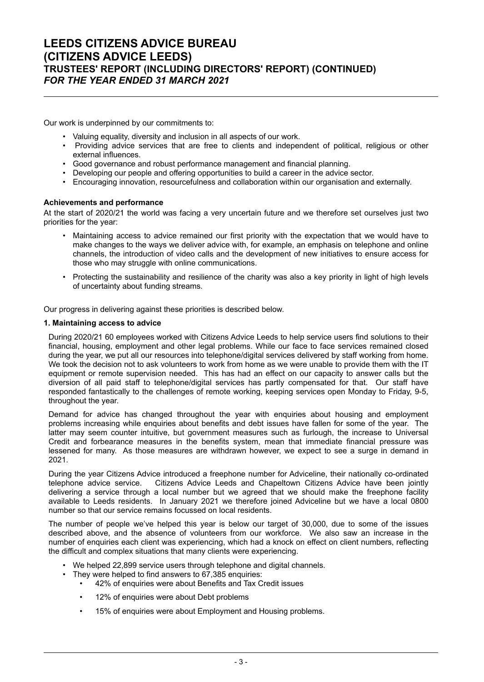Our work is underpinned by our commitments to:

- Valuing equality, diversity and inclusion in all aspects of our work.
- Providing advice services that are free to clients and independent of political, religious or other external influences.
- Good governance and robust performance management and financial planning.<br>• Developing our people and offering opportunities to build a career in the advice i
- Developing our people and offering opportunities to build a career in the advice sector.<br>• Encouraging innovation, resourcefulness and collaboration within our organisation and
- Encouraging innovation, resourcefulness and collaboration within our organisation and externally.

### **Achievements and performance**

At the start of 2020/21 the world was facing a very uncertain future and we therefore set ourselves just two priorities for the year:

- Maintaining access to advice remained our first priority with the expectation that we would have to make changes to the ways we deliver advice with, for example, an emphasis on telephone and online channels, the introduction of video calls and the development of new initiatives to ensure access for those who may struggle with online communications.
- Protecting the sustainability and resilience of the charity was also a key priority in light of high levels of uncertainty about funding streams.

Our progress in delivering against these priorities is described below.

#### **1. Maintaining access to advice**

During 2020/21 60 employees worked with Citizens Advice Leeds to help service users find solutions to their financial, housing, employment and other legal problems. While our face to face services remained closed during the year, we put all our resources into telephone/digital services delivered by staff working from home. We took the decision not to ask volunteers to work from home as we were unable to provide them with the IT equipment or remote supervision needed. This has had an effect on our capacity to answer calls but the diversion of all paid staff to telephone/digital services has partly compensated for that. Our staff have responded fantastically to the challenges of remote working, keeping services open Monday to Friday, 9-5, throughout the year.

Demand for advice has changed throughout the year with enquiries about housing and employment problems increasing while enquiries about benefits and debt issues have fallen for some of the year. The latter may seem counter intuitive, but government measures such as furlough, the increase to Universal Credit and forbearance measures in the benefits system, mean that immediate financial pressure was lessened for many. As those measures are withdrawn however, we expect to see a surge in demand in 2021.

During the year Citizens Advice introduced a freephone number for Adviceline, their nationally co-ordinated telephone advice service. Citizens Advice Leeds and Chapeltown Citizens Advice have been jointly delivering a service through a local number but we agreed that we should make the freephone facility available to Leeds residents. In January 2021 we therefore joined Adviceline but we have a local 0800 number so that our service remains focussed on local residents.

The number of people we've helped this year is below our target of 30,000, due to some of the issues described above, and the absence of volunteers from our workforce. We also saw an increase in the number of enquiries each client was experiencing, which had a knock on effect on client numbers, reflecting the difficult and complex situations that many clients were experiencing.

- We helped 22,899 service users through telephone and digital channels.
- They were helped to find answers to 67,385 enquiries:
	- 42% of enquiries were about Benefits and Tax Credit issues
	- 12% of enquiries were about Debt problems
	- 15% of enquiries were about Employment and Housing problems.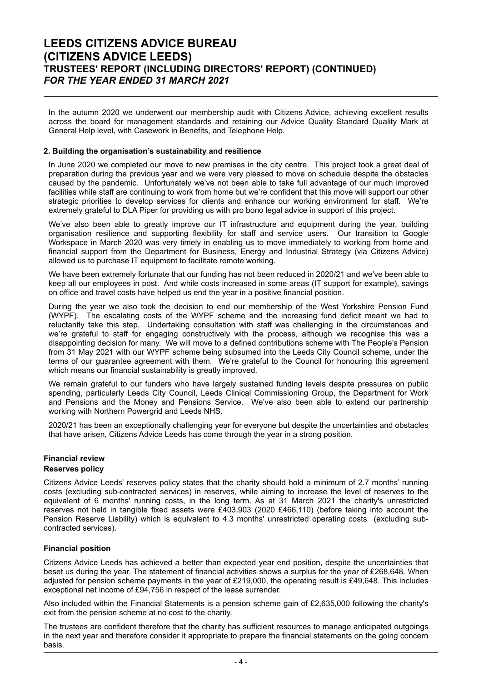# **LEEDS CITIZENS ADVICE BUREAU (CITIZENS ADVICE LEEDS) TRUSTEES' REPORT (INCLUDING DIRECTORS' REPORT) (CONTINUED)** *FOR THE YEAR ENDED 31 MARCH 2021*

In the autumn 2020 we underwent our membership audit with Citizens Advice, achieving excellent results across the board for management standards and retaining our Advice Quality Standard Quality Mark at General Help level, with Casework in Benefits, and Telephone Help.

### **2. Building the organisation's sustainability and resilience**

In June 2020 we completed our move to new premises in the city centre. This project took a great deal of preparation during the previous year and we were very pleased to move on schedule despite the obstacles caused by the pandemic. Unfortunately we've not been able to take full advantage of our much improved facilities while staff are continuing to work from home but we're confident that this move will support our other strategic priorities to develop services for clients and enhance our working environment for staff. We're extremely grateful to DLA Piper for providing us with pro bono legal advice in support of this project.

We've also been able to greatly improve our IT infrastructure and equipment during the year, building organisation resilience and supporting flexibility for staff and service users. Our transition to Google Workspace in March 2020 was very timely in enabling us to move immediately to working from home and financial support from the Department for Business, Energy and Industrial Strategy (via Citizens Advice) allowed us to purchase IT equipment to facilitate remote working.

We have been extremely fortunate that our funding has not been reduced in 2020/21 and we've been able to keep all our employees in post. And while costs increased in some areas (IT support for example), savings on office and travel costs have helped us end the year in a positive financial position.

During the year we also took the decision to end our membership of the West Yorkshire Pension Fund (WYPF). The escalating costs of the WYPF scheme and the increasing fund deficit meant we had to reluctantly take this step. Undertaking consultation with staff was challenging in the circumstances and we're grateful to staff for engaging constructively with the process, although we recognise this was a disappointing decision for many. We will move to a defined contributions scheme with The People's Pension from 31 May 2021 with our WYPF scheme being subsumed into the Leeds City Council scheme, under the terms of our guarantee agreement with them. We're grateful to the Council for honouring this agreement which means our financial sustainability is greatly improved.

We remain grateful to our funders who have largely sustained funding levels despite pressures on public spending, particularly Leeds City Council, Leeds Clinical Commissioning Group, the Department for Work and Pensions and the Money and Pensions Service. We've also been able to extend our partnership working with Northern Powergrid and Leeds NHS.

2020/21 has been an exceptionally challenging year for everyone but despite the uncertainties and obstacles that have arisen, Citizens Advice Leeds has come through the year in a strong position.

### **Financial review Reserves policy**

Citizens Advice Leeds' reserves policy states that the charity should hold a minimum of 2.7 months' running costs (excluding sub-contracted services) in reserves, while aiming to increase the level of reserves to the equivalent of 6 months' running costs, in the long term. As at 31 March 2021 the charity's unrestricted reserves not held in tangible fixed assets were £403,903 (2020 £466,110) (before taking into account the Pension Reserve Liability) which is equivalent to 4.3 months' unrestricted operating costs (excluding subcontracted services).

#### **Financial position**

Citizens Advice Leeds has achieved a better than expected year end position, despite the uncertainties that beset us during the year. The statement of financial activities shows a surplus for the year of £268,648. When adjusted for pension scheme payments in the year of £219,000, the operating result is £49,648. This includes exceptional net income of £94,756 in respect of the lease surrender.

Also included within the Financial Statements is a pension scheme gain of £2,635,000 following the charity's exit from the pension scheme at no cost to the charity.

The trustees are confident therefore that the charity has sufficient resources to manage anticipated outgoings in the next year and therefore consider it appropriate to prepare the financial statements on the going concern basis.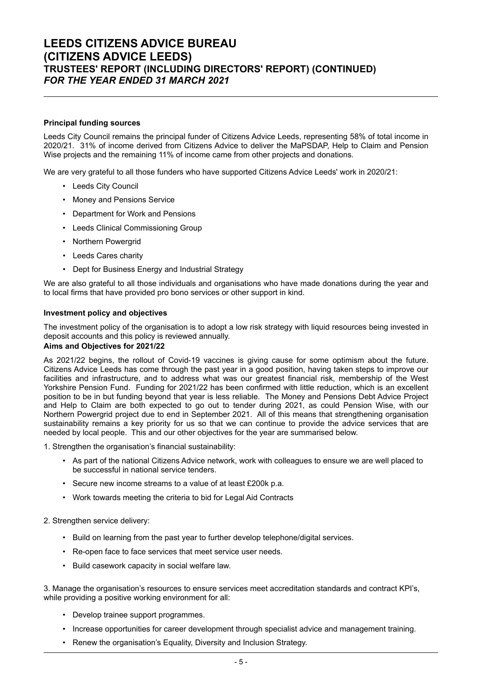# **LEEDS CITIZENS ADVICE BUREAU (CITIZENS ADVICE LEEDS) TRUSTEES' REPORT (INCLUDING DIRECTORS' REPORT) (CONTINUED)** *FOR THE YEAR ENDED 31 MARCH 2021*

## **Principal funding sources**

Leeds City Council remains the principal funder of Citizens Advice Leeds, representing 58% of total income in 2020/21. 31% of income derived from Citizens Advice to deliver the MaPSDAP, Help to Claim and Pension Wise projects and the remaining 11% of income came from other projects and donations.

We are very grateful to all those funders who have supported Citizens Advice Leeds' work in 2020/21:

- Leeds City Council
- Money and Pensions Service
- Department for Work and Pensions
- Leeds Clinical Commissioning Group
- Northern Powergrid
- Leeds Cares charity
- Dept for Business Energy and Industrial Strategy

We are also grateful to all those individuals and organisations who have made donations during the year and to local firms that have provided pro bono services or other support in kind.

#### **Investment policy and objectives**

The investment policy of the organisation is to adopt a low risk strategy with liquid resources being invested in deposit accounts and this policy is reviewed annually.

#### **Aims and Objectives for 2021/22**

As 2021/22 begins, the rollout of Covid-19 vaccines is giving cause for some optimism about the future. Citizens Advice Leeds has come through the past year in a good position, having taken steps to improve our facilities and infrastructure, and to address what was our greatest financial risk, membership of the West Yorkshire Pension Fund. Funding for 2021/22 has been confirmed with little reduction, which is an excellent position to be in but funding beyond that year is less reliable. The Money and Pensions Debt Advice Project and Help to Claim are both expected to go out to tender during 2021, as could Pension Wise, with our Northern Powergrid project due to end in September 2021. All of this means that strengthening organisation sustainability remains a key priority for us so that we can continue to provide the advice services that are needed by local people. This and our other objectives for the year are summarised below.

1. Strengthen the organisation's financial sustainability:

- As part of the national Citizens Advice network, work with colleagues to ensure we are well placed to be successful in national service tenders.
- Secure new income streams to a value of at least £200k p.a.
- Work towards meeting the criteria to bid for Legal Aid Contracts

#### 2. Strengthen service delivery:

- Build on learning from the past year to further develop telephone/digital services.
- Re-open face to face services that meet service user needs.
- Build casework capacity in social welfare law.

3. Manage the organisation's resources to ensure services meet accreditation standards and contract KPI's, while providing a positive working environment for all:

- Develop trainee support programmes.
- Increase opportunities for career development through specialist advice and management training.
- Renew the organisation's Equality, Diversity and Inclusion Strategy.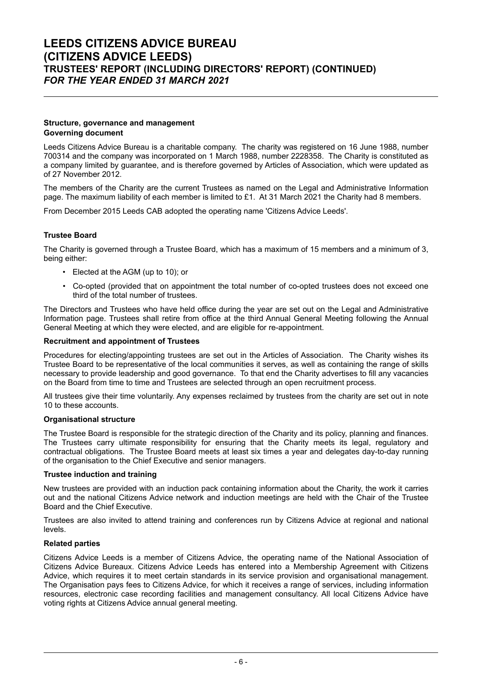### **Structure, governance and management Governing document**

Leeds Citizens Advice Bureau is a charitable company. The charity was registered on 16 June 1988, number 700314 and the company was incorporated on 1 March 1988, number 2228358. The Charity is constituted as a company limited by guarantee, and is therefore governed by Articles of Association, which were updated as of 27 November 2012.

The members of the Charity are the current Trustees as named on the Legal and Administrative Information page. The maximum liability of each member is limited to £1. At 31 March 2021 the Charity had 8 members.

From December 2015 Leeds CAB adopted the operating name 'Citizens Advice Leeds'.

## **Trustee Board**

The Charity is governed through a Trustee Board, which has a maximum of 15 members and a minimum of 3, being either:

- Elected at the AGM (up to 10); or
- Co-opted (provided that on appointment the total number of co-opted trustees does not exceed one third of the total number of trustees.

The Directors and Trustees who have held office during the year are set out on the Legal and Administrative Information page. Trustees shall retire from office at the third Annual General Meeting following the Annual General Meeting at which they were elected, and are eligible for re-appointment.

## **Recruitment and appointment of Trustees**

Procedures for electing/appointing trustees are set out in the Articles of Association. The Charity wishes its Trustee Board to be representative of the local communities it serves, as well as containing the range of skills necessary to provide leadership and good governance. To that end the Charity advertises to fill any vacancies on the Board from time to time and Trustees are selected through an open recruitment process.

All trustees give their time voluntarily. Any expenses reclaimed by trustees from the charity are set out in note 10 to these accounts.

## **Organisational structure**

The Trustee Board is responsible for the strategic direction of the Charity and its policy, planning and finances. The Trustees carry ultimate responsibility for ensuring that the Charity meets its legal, regulatory and contractual obligations. The Trustee Board meets at least six times a year and delegates day-to-day running of the organisation to the Chief Executive and senior managers.

## **Trustee induction and training**

New trustees are provided with an induction pack containing information about the Charity, the work it carries out and the national Citizens Advice network and induction meetings are held with the Chair of the Trustee Board and the Chief Executive.

Trustees are also invited to attend training and conferences run by Citizens Advice at regional and national levels.

#### **Related parties**

Citizens Advice Leeds is a member of Citizens Advice, the operating name of the National Association of Citizens Advice Bureaux. Citizens Advice Leeds has entered into a Membership Agreement with Citizens Advice, which requires it to meet certain standards in its service provision and organisational management. The Organisation pays fees to Citizens Advice, for which it receives a range of services, including information resources, electronic case recording facilities and management consultancy. All local Citizens Advice have voting rights at Citizens Advice annual general meeting.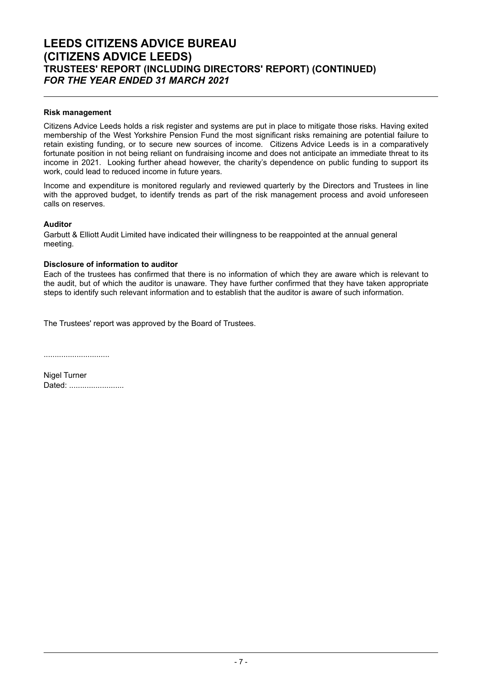# **LEEDS CITIZENS ADVICE BUREAU (CITIZENS ADVICE LEEDS) TRUSTEES' REPORT (INCLUDING DIRECTORS' REPORT) (CONTINUED)** *FOR THE YEAR ENDED 31 MARCH 2021*

## **Risk management**

Citizens Advice Leeds holds a risk register and systems are put in place to mitigate those risks. Having exited membership of the West Yorkshire Pension Fund the most significant risks remaining are potential failure to retain existing funding, or to secure new sources of income. Citizens Advice Leeds is in a comparatively fortunate position in not being reliant on fundraising income and does not anticipate an immediate threat to its income in 2021. Looking further ahead however, the charity's dependence on public funding to support its work, could lead to reduced income in future years.

Income and expenditure is monitored regularly and reviewed quarterly by the Directors and Trustees in line with the approved budget, to identify trends as part of the risk management process and avoid unforeseen calls on reserves.

## **Auditor**

Garbutt & Elliott Audit Limited have indicated their willingness to be reappointed at the annual general meeting.

# **Disclosure of information to auditor**

Each of the trustees has confirmed that there is no information of which they are aware which is relevant to the audit, but of which the auditor is unaware. They have further confirmed that they have taken appropriate steps to identify such relevant information and to establish that the auditor is aware of such information.

The Trustees' report was approved by the Board of Trustees.

..............................

Nigel Turner Dated: ........................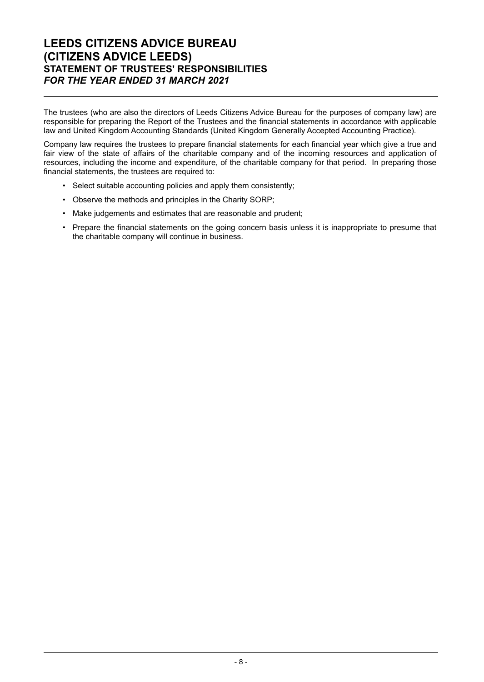# **LEEDS CITIZENS ADVICE BUREAU (CITIZENS ADVICE LEEDS) STATEMENT OF TRUSTEES' RESPONSIBILITIES** *FOR THE YEAR ENDED 31 MARCH 2021*

The trustees (who are also the directors of Leeds Citizens Advice Bureau for the purposes of company law) are responsible for preparing the Report of the Trustees and the financial statements in accordance with applicable law and United Kingdom Accounting Standards (United Kingdom Generally Accepted Accounting Practice).

Company law requires the trustees to prepare financial statements for each financial year which give a true and fair view of the state of affairs of the charitable company and of the incoming resources and application of resources, including the income and expenditure, of the charitable company for that period. In preparing those financial statements, the trustees are required to:

- Select suitable accounting policies and apply them consistently;
- Observe the methods and principles in the Charity SORP;
- Make judgements and estimates that are reasonable and prudent;
- Prepare the financial statements on the going concern basis unless it is inappropriate to presume that the charitable company will continue in business.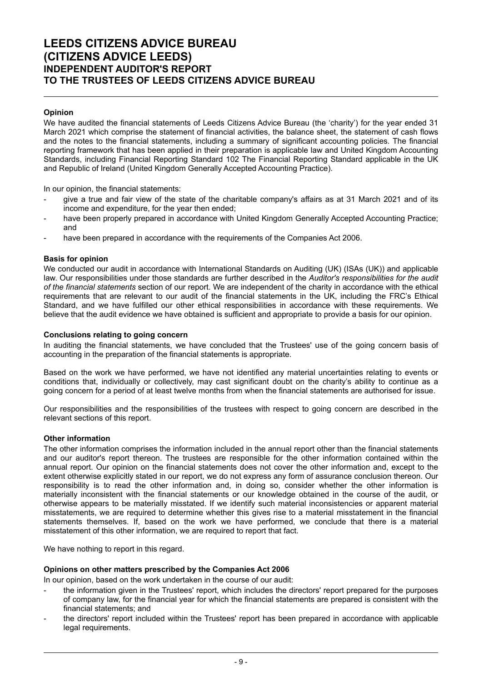# **LEEDS CITIZENS ADVICE BUREAU (CITIZENS ADVICE LEEDS) INDEPENDENT AUDITOR'S REPORT TO THE TRUSTEES OF LEEDS CITIZENS ADVICE BUREAU**

## **Opinion**

We have audited the financial statements of Leeds Citizens Advice Bureau (the 'charity') for the year ended 31 March 2021 which comprise the statement of financial activities, the balance sheet, the statement of cash flows and the notes to the financial statements, including a summary of significant accounting policies. The financial reporting framework that has been applied in their preparation is applicable law and United Kingdom Accounting Standards, including Financial Reporting Standard 102 The Financial Reporting Standard applicable in the UK and Republic of Ireland (United Kingdom Generally Accepted Accounting Practice).

In our opinion, the financial statements:

- give a true and fair view of the state of the charitable company's affairs as at 31 March 2021 and of its income and expenditure, for the year then ended;
- have been properly prepared in accordance with United Kingdom Generally Accepted Accounting Practice; and
- have been prepared in accordance with the requirements of the Companies Act 2006.

## **Basis for opinion**

We conducted our audit in accordance with International Standards on Auditing (UK) (ISAs (UK)) and applicable law. Our responsibilities under those standards are further described in the *Auditor's responsibilities for the audit of the financial statements* section of our report. We are independent of the charity in accordance with the ethical requirements that are relevant to our audit of the financial statements in the UK, including the FRC's Ethical Standard, and we have fulfilled our other ethical responsibilities in accordance with these requirements. We believe that the audit evidence we have obtained is sufficient and appropriate to provide a basis for our opinion.

### **Conclusions relating to going concern**

In auditing the financial statements, we have concluded that the Trustees' use of the going concern basis of accounting in the preparation of the financial statements is appropriate.

Based on the work we have performed, we have not identified any material uncertainties relating to events or conditions that, individually or collectively, may cast significant doubt on the charity's ability to continue as a going concern for a period of at least twelve months from when the financial statements are authorised for issue.

Our responsibilities and the responsibilities of the trustees with respect to going concern are described in the relevant sections of this report.

#### **Other information**

The other information comprises the information included in the annual report other than the financial statements and our auditor's report thereon. The trustees are responsible for the other information contained within the annual report. Our opinion on the financial statements does not cover the other information and, except to the extent otherwise explicitly stated in our report, we do not express any form of assurance conclusion thereon. Our responsibility is to read the other information and, in doing so, consider whether the other information is materially inconsistent with the financial statements or our knowledge obtained in the course of the audit, or otherwise appears to be materially misstated. If we identify such material inconsistencies or apparent material misstatements, we are required to determine whether this gives rise to a material misstatement in the financial statements themselves. If, based on the work we have performed, we conclude that there is a material misstatement of this other information, we are required to report that fact.

We have nothing to report in this regard.

#### **Opinions on other matters prescribed by the Companies Act 2006**

In our opinion, based on the work undertaken in the course of our audit:

- the information given in the Trustees' report, which includes the directors' report prepared for the purposes of company law, for the financial year for which the financial statements are prepared is consistent with the financial statements; and
- the directors' report included within the Trustees' report has been prepared in accordance with applicable legal requirements.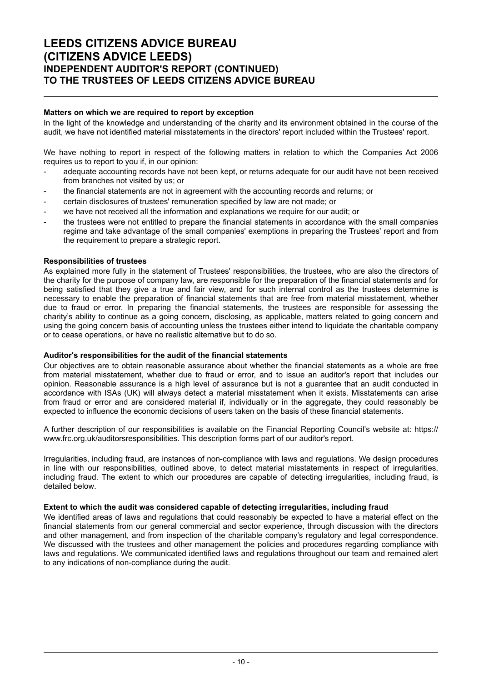# **LEEDS CITIZENS ADVICE BUREAU (CITIZENS ADVICE LEEDS) INDEPENDENT AUDITOR'S REPORT (CONTINUED) TO THE TRUSTEES OF LEEDS CITIZENS ADVICE BUREAU**

### **Matters on which we are required to report by exception**

In the light of the knowledge and understanding of the charity and its environment obtained in the course of the audit, we have not identified material misstatements in the directors' report included within the Trustees' report.

We have nothing to report in respect of the following matters in relation to which the Companies Act 2006 requires us to report to you if, in our opinion:

- adequate accounting records have not been kept, or returns adequate for our audit have not been received from branches not visited by us; or
- the financial statements are not in agreement with the accounting records and returns; or
- certain disclosures of trustees' remuneration specified by law are not made; or
- we have not received all the information and explanations we require for our audit; or
- the trustees were not entitled to prepare the financial statements in accordance with the small companies regime and take advantage of the small companies' exemptions in preparing the Trustees' report and from the requirement to prepare a strategic report.

#### **Responsibilities of trustees**

As explained more fully in the statement of Trustees' responsibilities, the trustees, who are also the directors of the charity for the purpose of company law, are responsible for the preparation of the financial statements and for being satisfied that they give a true and fair view, and for such internal control as the trustees determine is necessary to enable the preparation of financial statements that are free from material misstatement, whether due to fraud or error. In preparing the financial statements, the trustees are responsible for assessing the charity's ability to continue as a going concern, disclosing, as applicable, matters related to going concern and using the going concern basis of accounting unless the trustees either intend to liquidate the charitable company or to cease operations, or have no realistic alternative but to do so.

#### **Auditor's responsibilities for the audit of the financial statements**

Our objectives are to obtain reasonable assurance about whether the financial statements as a whole are free from material misstatement, whether due to fraud or error, and to issue an auditor's report that includes our opinion. Reasonable assurance is a high level of assurance but is not a guarantee that an audit conducted in accordance with ISAs (UK) will always detect a material misstatement when it exists. Misstatements can arise from fraud or error and are considered material if, individually or in the aggregate, they could reasonably be expected to influence the economic decisions of users taken on the basis of these financial statements.

A further description of our responsibilities is available on the Financial Reporting Council's website at: https:// www.frc.org.uk/auditorsresponsibilities. This description forms part of our auditor's report.

Irregularities, including fraud, are instances of non-compliance with laws and regulations. We design procedures in line with our responsibilities, outlined above, to detect material misstatements in respect of irregularities, including fraud. The extent to which our procedures are capable of detecting irregularities, including fraud, is detailed below.

#### **Extent to which the audit was considered capable of detecting irregularities, including fraud**

We identified areas of laws and regulations that could reasonably be expected to have a material effect on the financial statements from our general commercial and sector experience, through discussion with the directors and other management, and from inspection of the charitable company's regulatory and legal correspondence. We discussed with the trustees and other management the policies and procedures regarding compliance with laws and regulations. We communicated identified laws and regulations throughout our team and remained alert to any indications of non-compliance during the audit.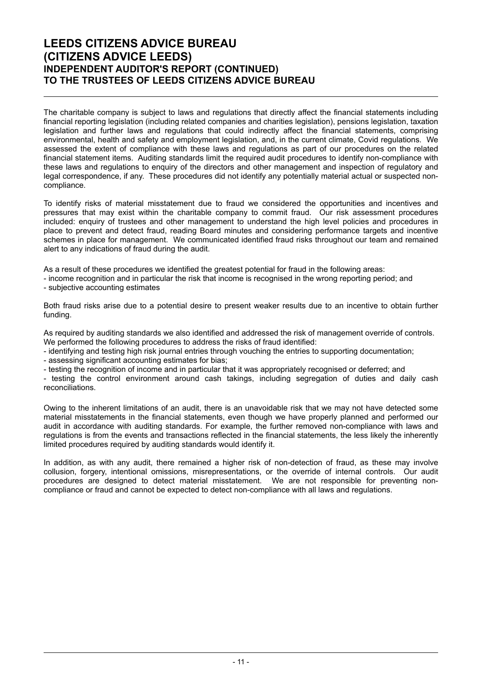# **LEEDS CITIZENS ADVICE BUREAU (CITIZENS ADVICE LEEDS) INDEPENDENT AUDITOR'S REPORT (CONTINUED) TO THE TRUSTEES OF LEEDS CITIZENS ADVICE BUREAU**

The charitable company is subject to laws and regulations that directly affect the financial statements including financial reporting legislation (including related companies and charities legislation), pensions legislation, taxation legislation and further laws and regulations that could indirectly affect the financial statements, comprising environmental, health and safety and employment legislation, and, in the current climate, Covid regulations. We assessed the extent of compliance with these laws and regulations as part of our procedures on the related financial statement items. Auditing standards limit the required audit procedures to identify non-compliance with these laws and regulations to enquiry of the directors and other management and inspection of regulatory and legal correspondence, if any. These procedures did not identify any potentially material actual or suspected noncompliance.

To identify risks of material misstatement due to fraud we considered the opportunities and incentives and pressures that may exist within the charitable company to commit fraud. Our risk assessment procedures included: enquiry of trustees and other management to understand the high level policies and procedures in place to prevent and detect fraud, reading Board minutes and considering performance targets and incentive schemes in place for management. We communicated identified fraud risks throughout our team and remained alert to any indications of fraud during the audit.

As a result of these procedures we identified the greatest potential for fraud in the following areas:

- income recognition and in particular the risk that income is recognised in the wrong reporting period; and - subjective accounting estimates

Both fraud risks arise due to a potential desire to present weaker results due to an incentive to obtain further funding.

As required by auditing standards we also identified and addressed the risk of management override of controls. We performed the following procedures to address the risks of fraud identified:

- identifying and testing high risk journal entries through vouching the entries to supporting documentation;

- assessing significant accounting estimates for bias;

- testing the recognition of income and in particular that it was appropriately recognised or deferred; and

- testing the control environment around cash takings, including segregation of duties and daily cash reconciliations.

Owing to the inherent limitations of an audit, there is an unavoidable risk that we may not have detected some material misstatements in the financial statements, even though we have properly planned and performed our audit in accordance with auditing standards. For example, the further removed non-compliance with laws and regulations is from the events and transactions reflected in the financial statements, the less likely the inherently limited procedures required by auditing standards would identify it.

In addition, as with any audit, there remained a higher risk of non-detection of fraud, as these may involve collusion, forgery, intentional omissions, misrepresentations, or the override of internal controls. Our audit procedures are designed to detect material misstatement. We are not responsible for preventing noncompliance or fraud and cannot be expected to detect non-compliance with all laws and regulations.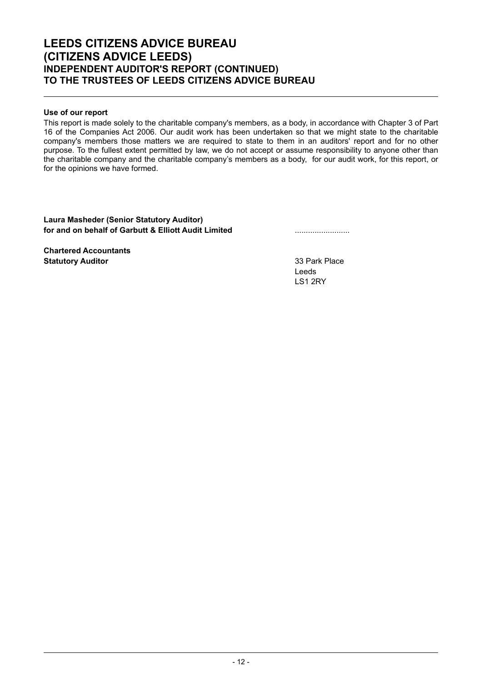# **LEEDS CITIZENS ADVICE BUREAU (CITIZENS ADVICE LEEDS) INDEPENDENT AUDITOR'S REPORT (CONTINUED) TO THE TRUSTEES OF LEEDS CITIZENS ADVICE BUREAU**

# **Use of our report**

This report is made solely to the charitable company's members, as a body, in accordance with Chapter 3 of Part 16 of the Companies Act 2006. Our audit work has been undertaken so that we might state to the charitable company's members those matters we are required to state to them in an auditors' report and for no other purpose. To the fullest extent permitted by law, we do not accept or assume responsibility to anyone other than the charitable company and the charitable company's members as a body, for our audit work, for this report, or for the opinions we have formed.

## **Laura Masheder (Senior Statutory Auditor) for and on behalf of Garbutt & Elliott Audit Limited** .........................

**Chartered Accountants Statutory Auditor Contract Contract Contract Contract Contract Contract Contract Contract Contract Contract Contract Contract Contract Contract Contract Contract Contract Contract Contract Contract Contract Contract Con** 

Leeds LS1 2RY

- 12 -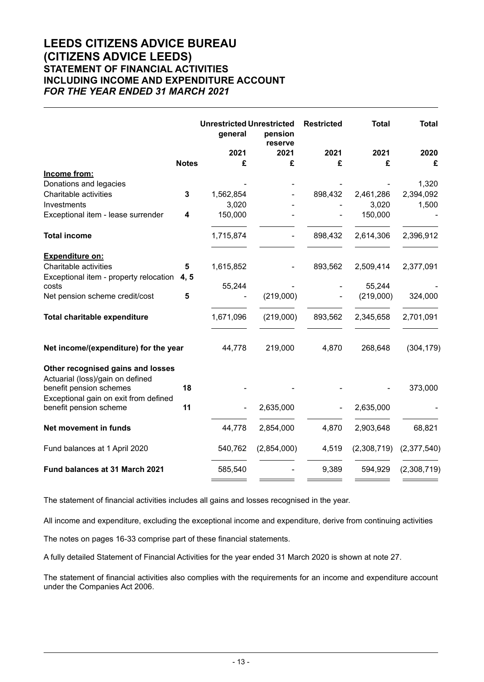# **LEEDS CITIZENS ADVICE BUREAU (CITIZENS ADVICE LEEDS) STATEMENT OF FINANCIAL ACTIVITIES INCLUDING INCOME AND EXPENDITURE ACCOUNT** *FOR THE YEAR ENDED 31 MARCH 2021*

|                                                                  | <b>Unrestricted Unrestricted</b><br>general | pension<br>reserve | <b>Restricted</b> | <b>Total</b> | <b>Total</b> |
|------------------------------------------------------------------|---------------------------------------------|--------------------|-------------------|--------------|--------------|
|                                                                  | 2021                                        | 2021               | 2021              | 2021         | 2020         |
| <b>Notes</b>                                                     | £                                           | £                  | £                 | £            | £            |
| Income from:                                                     |                                             |                    |                   |              |              |
| Donations and legacies                                           |                                             |                    |                   |              | 1,320        |
| Charitable activities<br>3                                       | 1,562,854                                   |                    | 898,432           | 2,461,286    | 2,394,092    |
| Investments                                                      | 3,020                                       |                    |                   | 3,020        | 1,500        |
| Exceptional item - lease surrender<br>4                          | 150,000                                     |                    |                   | 150,000      |              |
| <b>Total income</b>                                              | 1,715,874                                   |                    | 898,432           | 2,614,306    | 2,396,912    |
| <b>Expenditure on:</b>                                           |                                             |                    |                   |              |              |
| Charitable activities<br>5                                       | 1,615,852                                   |                    | 893,562           | 2,509,414    | 2,377,091    |
| Exceptional item - property relocation 4, 5                      |                                             |                    |                   |              |              |
| costs                                                            | 55,244                                      |                    |                   | 55,244       |              |
| Net pension scheme credit/cost<br>5                              |                                             | (219,000)          |                   | (219,000)    | 324,000      |
| <b>Total charitable expenditure</b>                              | 1,671,096                                   | (219,000)          | 893,562           | 2,345,658    | 2,701,091    |
| Net income/(expenditure) for the year                            | 44,778                                      | 219,000            | 4,870             | 268,648      | (304, 179)   |
| Other recognised gains and losses                                |                                             |                    |                   |              |              |
| Actuarial (loss)/gain on defined<br>18                           |                                             |                    |                   |              |              |
| benefit pension schemes<br>Exceptional gain on exit from defined |                                             |                    |                   |              | 373,000      |
| 11<br>benefit pension scheme                                     |                                             | 2,635,000          |                   | 2,635,000    |              |
| Net movement in funds                                            | 44,778                                      | 2,854,000          | 4,870             | 2,903,648    | 68,821       |
| Fund balances at 1 April 2020                                    | 540,762                                     | (2,854,000)        | 4,519             | (2,308,719)  | (2,377,540)  |
| Fund balances at 31 March 2021                                   | 585,540                                     |                    | 9,389             | 594,929      | (2,308,719)  |

The statement of financial activities includes all gains and losses recognised in the year.

All income and expenditure, excluding the exceptional income and expenditure, derive from continuing activities

The notes on pages 16-33 comprise part of these financial statements.

A fully detailed Statement of Financial Activities for the year ended 31 March 2020 is shown at note 27.

The statement of financial activities also complies with the requirements for an income and expenditure account under the Companies Act 2006.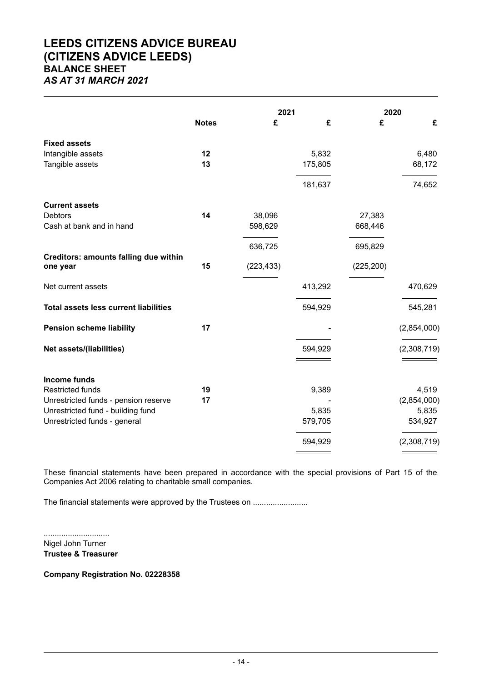# **LEEDS CITIZENS ADVICE BUREAU (CITIZENS ADVICE LEEDS) BALANCE SHEET** *AS AT 31 MARCH 2021*

|                                              |              | 2021       |         | 2020       |             |
|----------------------------------------------|--------------|------------|---------|------------|-------------|
|                                              | <b>Notes</b> | £          | £       | £          | £           |
| <b>Fixed assets</b>                          |              |            |         |            |             |
| Intangible assets                            | 12<br>13     |            | 5,832   |            | 6,480       |
| Tangible assets                              |              |            | 175,805 |            | 68,172      |
|                                              |              |            | 181,637 |            | 74,652      |
| <b>Current assets</b>                        |              |            |         |            |             |
| <b>Debtors</b>                               | 14           | 38,096     |         | 27,383     |             |
| Cash at bank and in hand                     |              | 598,629    |         | 668,446    |             |
|                                              |              | 636,725    |         | 695,829    |             |
| <b>Creditors: amounts falling due within</b> |              |            |         |            |             |
| one year                                     | 15           | (223, 433) |         | (225, 200) |             |
| Net current assets                           |              |            | 413,292 |            | 470,629     |
| <b>Total assets less current liabilities</b> |              |            | 594,929 |            | 545,281     |
| <b>Pension scheme liability</b>              | 17           |            |         |            | (2,854,000) |
| Net assets/(liabilities)                     |              |            | 594,929 |            | (2,308,719) |
|                                              |              |            |         |            |             |
| <b>Income funds</b>                          |              |            |         |            |             |
| <b>Restricted funds</b>                      | 19           |            | 9,389   |            | 4,519       |
| Unrestricted funds - pension reserve         | 17           |            |         |            | (2,854,000) |
| Unrestricted fund - building fund            |              |            | 5,835   |            | 5,835       |
| Unrestricted funds - general                 |              |            | 579,705 |            | 534,927     |
|                                              |              |            | 594,929 |            | (2,308,719) |
|                                              |              |            |         |            |             |

These financial statements have been prepared in accordance with the special provisions of Part 15 of the Companies Act 2006 relating to charitable small companies.

The financial statements were approved by the Trustees on .......................

.............................. Nigel John Turner **Trustee & Treasurer**

**Company Registration No. 02228358**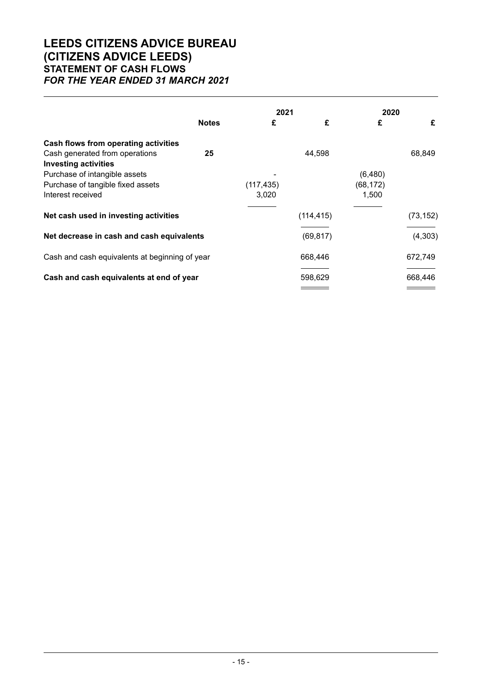# **LEEDS CITIZENS ADVICE BUREAU (CITIZENS ADVICE LEEDS) STATEMENT OF CASH FLOWS** *FOR THE YEAR ENDED 31 MARCH 2021*

|                                                               |              | 2021       |            | 2020      |           |
|---------------------------------------------------------------|--------------|------------|------------|-----------|-----------|
|                                                               | <b>Notes</b> | £          | £          | £         | £         |
| Cash flows from operating activities                          |              |            |            |           |           |
| Cash generated from operations<br><b>Investing activities</b> | 25           |            | 44,598     |           | 68,849    |
| Purchase of intangible assets                                 |              |            |            | (6,480)   |           |
| Purchase of tangible fixed assets                             |              | (117, 435) |            | (68, 172) |           |
| Interest received                                             |              | 3,020      |            | 1,500     |           |
| Net cash used in investing activities                         |              |            | (114, 415) |           | (73, 152) |
| Net decrease in cash and cash equivalents                     |              |            | (69, 817)  |           | (4,303)   |
| Cash and cash equivalents at beginning of year                |              |            | 668,446    |           | 672,749   |
| Cash and cash equivalents at end of year                      |              |            | 598,629    |           | 668,446   |
|                                                               |              |            |            |           |           |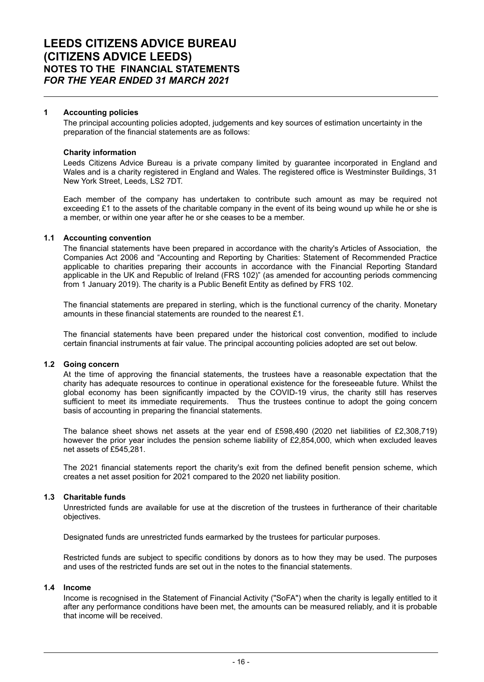#### **1 Accounting policies**

The principal accounting policies adopted, judgements and key sources of estimation uncertainty in the preparation of the financial statements are as follows:

#### **Charity information**

Leeds Citizens Advice Bureau is a private company limited by guarantee incorporated in England and Wales and is a charity registered in England and Wales. The registered office is Westminster Buildings, 31 New York Street, Leeds, LS2 7DT.

Each member of the company has undertaken to contribute such amount as may be required not exceeding £1 to the assets of the charitable company in the event of its being wound up while he or she is a member, or within one year after he or she ceases to be a member.

### **1.1 Accounting convention**

The financial statements have been prepared in accordance with the charity's Articles of Association, the Companies Act 2006 and "Accounting and Reporting by Charities: Statement of Recommended Practice applicable to charities preparing their accounts in accordance with the Financial Reporting Standard applicable in the UK and Republic of Ireland (FRS 102)" (as amended for accounting periods commencing from 1 January 2019). The charity is a Public Benefit Entity as defined by FRS 102.

The financial statements are prepared in sterling, which is the functional currency of the charity. Monetary amounts in these financial statements are rounded to the nearest £1.

The financial statements have been prepared under the historical cost convention, modified to include certain financial instruments at fair value. The principal accounting policies adopted are set out below.

#### **1.2 Going concern**

At the time of approving the financial statements, the trustees have a reasonable expectation that the charity has adequate resources to continue in operational existence for the foreseeable future. Whilst the global economy has been significantly impacted by the COVID-19 virus, the charity still has reserves sufficient to meet its immediate requirements. Thus the trustees continue to adopt the going concern basis of accounting in preparing the financial statements.

The balance sheet shows net assets at the year end of £598,490 (2020 net liabilities of £2,308,719) however the prior year includes the pension scheme liability of £2,854,000, which when excluded leaves net assets of £545,281

The 2021 financial statements report the charity's exit from the defined benefit pension scheme, which creates a net asset position for 2021 compared to the 2020 net liability position.

## **1.3 Charitable funds**

Unrestricted funds are available for use at the discretion of the trustees in furtherance of their charitable objectives.

Designated funds are unrestricted funds earmarked by the trustees for particular purposes.

Restricted funds are subject to specific conditions by donors as to how they may be used. The purposes and uses of the restricted funds are set out in the notes to the financial statements.

## **1.4 Income**

Income is recognised in the Statement of Financial Activity ("SoFA") when the charity is legally entitled to it after any performance conditions have been met, the amounts can be measured reliably, and it is probable that income will be received.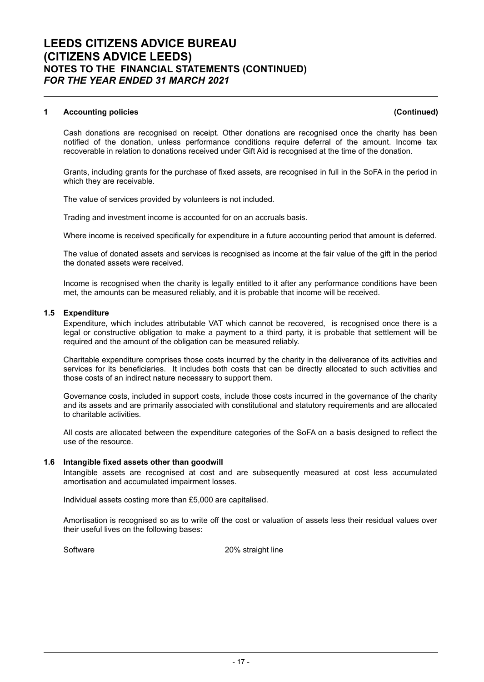Cash donations are recognised on receipt. Other donations are recognised once the charity has been notified of the donation, unless performance conditions require deferral of the amount. Income tax recoverable in relation to donations received under Gift Aid is recognised at the time of the donation.

Grants, including grants for the purchase of fixed assets, are recognised in full in the SoFA in the period in which they are receivable.

The value of services provided by volunteers is not included.

Trading and investment income is accounted for on an accruals basis.

Where income is received specifically for expenditure in a future accounting period that amount is deferred.

The value of donated assets and services is recognised as income at the fair value of the gift in the period the donated assets were received.

Income is recognised when the charity is legally entitled to it after any performance conditions have been met, the amounts can be measured reliably, and it is probable that income will be received.

## **1.5 Expenditure**

Expenditure, which includes attributable VAT which cannot be recovered, is recognised once there is a legal or constructive obligation to make a payment to a third party, it is probable that settlement will be required and the amount of the obligation can be measured reliably.

Charitable expenditure comprises those costs incurred by the charity in the deliverance of its activities and services for its beneficiaries. It includes both costs that can be directly allocated to such activities and those costs of an indirect nature necessary to support them.

Governance costs, included in support costs, include those costs incurred in the governance of the charity and its assets and are primarily associated with constitutional and statutory requirements and are allocated to charitable activities.

All costs are allocated between the expenditure categories of the SoFA on a basis designed to reflect the use of the resource.

#### **1.6 Intangible fixed assets other than goodwill**

Intangible assets are recognised at cost and are subsequently measured at cost less accumulated amortisation and accumulated impairment losses.

Individual assets costing more than £5,000 are capitalised.

Amortisation is recognised so as to write off the cost or valuation of assets less their residual values over their useful lives on the following bases:

Software 20% straight line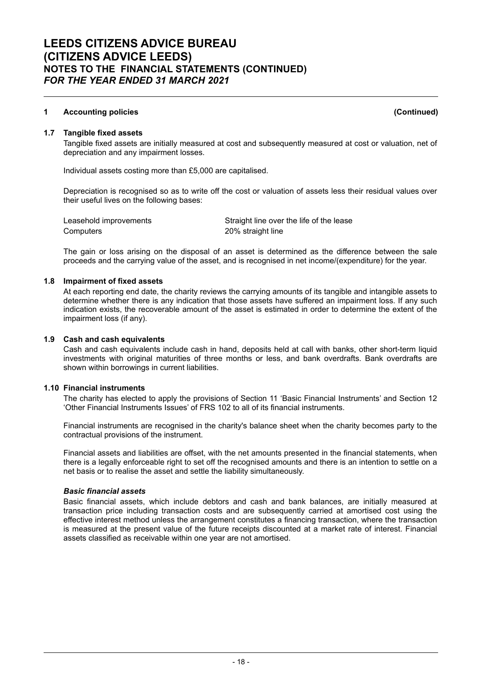#### **1.7 Tangible fixed assets**

Tangible fixed assets are initially measured at cost and subsequently measured at cost or valuation, net of depreciation and any impairment losses.

Individual assets costing more than £5,000 are capitalised.

Depreciation is recognised so as to write off the cost or valuation of assets less their residual values over their useful lives on the following bases:

Computers 20% straight line

Leasehold improvements Straight line over the life of the lease

The gain or loss arising on the disposal of an asset is determined as the difference between the sale proceeds and the carrying value of the asset, and is recognised in net income/(expenditure) for the year.

#### **1.8 Impairment of fixed assets**

At each reporting end date, the charity reviews the carrying amounts of its tangible and intangible assets to determine whether there is any indication that those assets have suffered an impairment loss. If any such indication exists, the recoverable amount of the asset is estimated in order to determine the extent of the impairment loss (if any).

#### **1.9 Cash and cash equivalents**

Cash and cash equivalents include cash in hand, deposits held at call with banks, other short-term liquid investments with original maturities of three months or less, and bank overdrafts. Bank overdrafts are shown within borrowings in current liabilities.

## **1.10 Financial instruments**

The charity has elected to apply the provisions of Section 11 'Basic Financial Instruments' and Section 12 'Other Financial Instruments Issues' of FRS 102 to all of its financial instruments.

Financial instruments are recognised in the charity's balance sheet when the charity becomes party to the contractual provisions of the instrument.

Financial assets and liabilities are offset, with the net amounts presented in the financial statements, when there is a legally enforceable right to set off the recognised amounts and there is an intention to settle on a net basis or to realise the asset and settle the liability simultaneously.

## *Basic financial assets*

Basic financial assets, which include debtors and cash and bank balances, are initially measured at transaction price including transaction costs and are subsequently carried at amortised cost using the effective interest method unless the arrangement constitutes a financing transaction, where the transaction is measured at the present value of the future receipts discounted at a market rate of interest. Financial assets classified as receivable within one year are not amortised.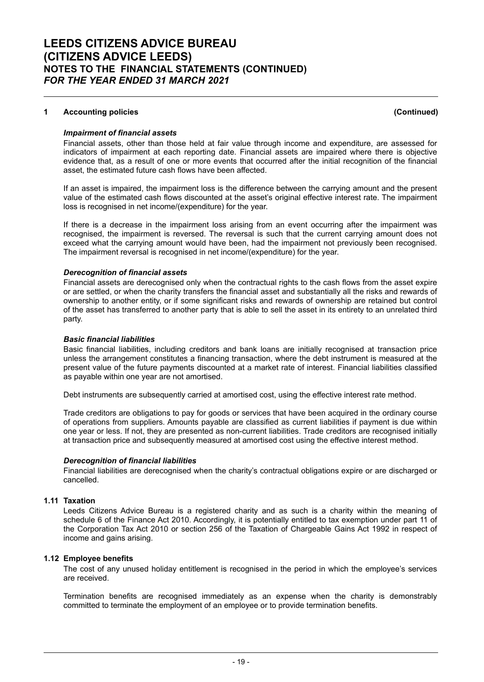### *Impairment of financial assets*

Financial assets, other than those held at fair value through income and expenditure, are assessed for indicators of impairment at each reporting date. Financial assets are impaired where there is objective evidence that, as a result of one or more events that occurred after the initial recognition of the financial asset, the estimated future cash flows have been affected.

If an asset is impaired, the impairment loss is the difference between the carrying amount and the present value of the estimated cash flows discounted at the asset's original effective interest rate. The impairment loss is recognised in net income/(expenditure) for the year.

If there is a decrease in the impairment loss arising from an event occurring after the impairment was recognised, the impairment is reversed. The reversal is such that the current carrying amount does not exceed what the carrying amount would have been, had the impairment not previously been recognised. The impairment reversal is recognised in net income/(expenditure) for the year.

### *Derecognition of financial assets*

Financial assets are derecognised only when the contractual rights to the cash flows from the asset expire or are settled, or when the charity transfers the financial asset and substantially all the risks and rewards of ownership to another entity, or if some significant risks and rewards of ownership are retained but control of the asset has transferred to another party that is able to sell the asset in its entirety to an unrelated third party.

#### *Basic financial liabilities*

Basic financial liabilities, including creditors and bank loans are initially recognised at transaction price unless the arrangement constitutes a financing transaction, where the debt instrument is measured at the present value of the future payments discounted at a market rate of interest. Financial liabilities classified as payable within one year are not amortised.

Debt instruments are subsequently carried at amortised cost, using the effective interest rate method.

Trade creditors are obligations to pay for goods or services that have been acquired in the ordinary course of operations from suppliers. Amounts payable are classified as current liabilities if payment is due within one year or less. If not, they are presented as non-current liabilities. Trade creditors are recognised initially at transaction price and subsequently measured at amortised cost using the effective interest method.

## *Derecognition of financial liabilities*

Financial liabilities are derecognised when the charity's contractual obligations expire or are discharged or cancelled.

## **1.11 Taxation**

Leeds Citizens Advice Bureau is a registered charity and as such is a charity within the meaning of schedule 6 of the Finance Act 2010. Accordingly, it is potentially entitled to tax exemption under part 11 of the Corporation Tax Act 2010 or section 256 of the Taxation of Chargeable Gains Act 1992 in respect of income and gains arising.

#### **1.12 Employee benefits**

The cost of any unused holiday entitlement is recognised in the period in which the employee's services are received.

Termination benefits are recognised immediately as an expense when the charity is demonstrably committed to terminate the employment of an employee or to provide termination benefits.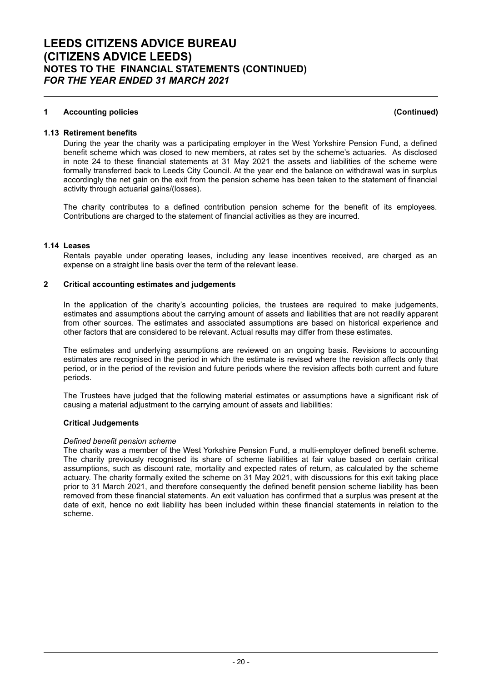#### **1.13 Retirement benefits**

During the year the charity was a participating employer in the West Yorkshire Pension Fund, a defined benefit scheme which was closed to new members, at rates set by the scheme's actuaries. As disclosed in note 24 to these financial statements at 31 May 2021 the assets and liabilities of the scheme were formally transferred back to Leeds City Council. At the year end the balance on withdrawal was in surplus accordingly the net gain on the exit from the pension scheme has been taken to the statement of financial activity through actuarial gains/(losses).

The charity contributes to a defined contribution pension scheme for the benefit of its employees. Contributions are charged to the statement of financial activities as they are incurred.

#### **1.14 Leases**

Rentals payable under operating leases, including any lease incentives received, are charged as an expense on a straight line basis over the term of the relevant lease.

#### **2 Critical accounting estimates and judgements**

In the application of the charity's accounting policies, the trustees are required to make judgements, estimates and assumptions about the carrying amount of assets and liabilities that are not readily apparent from other sources. The estimates and associated assumptions are based on historical experience and other factors that are considered to be relevant. Actual results may differ from these estimates.

The estimates and underlying assumptions are reviewed on an ongoing basis. Revisions to accounting estimates are recognised in the period in which the estimate is revised where the revision affects only that period, or in the period of the revision and future periods where the revision affects both current and future periods.

The Trustees have judged that the following material estimates or assumptions have a significant risk of causing a material adjustment to the carrying amount of assets and liabilities:

#### **Critical Judgements**

#### *Defined benefit pension scheme*

The charity was a member of the West Yorkshire Pension Fund, a multi-employer defined benefit scheme. The charity previously recognised its share of scheme liabilities at fair value based on certain critical assumptions, such as discount rate, mortality and expected rates of return, as calculated by the scheme actuary. The charity formally exited the scheme on 31 May 2021, with discussions for this exit taking place prior to 31 March 2021, and therefore consequently the defined benefit pension scheme liability has been removed from these financial statements. An exit valuation has confirmed that a surplus was present at the date of exit, hence no exit liability has been included within these financial statements in relation to the scheme.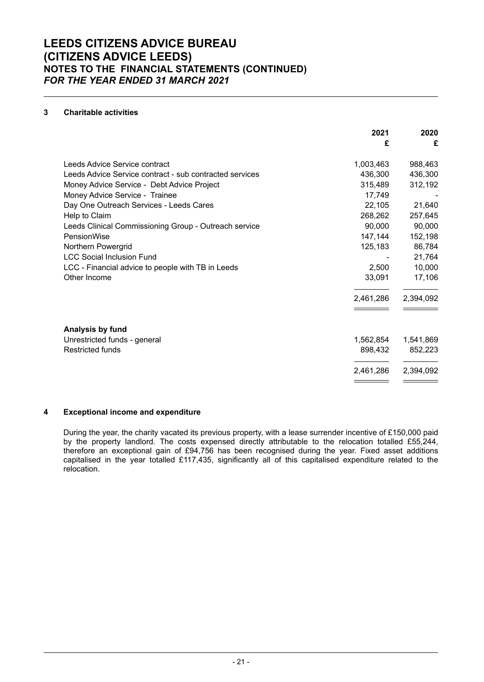# **3 Charitable activities**

|                                                         | 2021      | 2020      |
|---------------------------------------------------------|-----------|-----------|
|                                                         | £         | £         |
| Leeds Advice Service contract                           | 1,003,463 | 988,463   |
| Leeds Advice Service contract - sub contracted services | 436,300   | 436,300   |
| Money Advice Service - Debt Advice Project              | 315,489   | 312,192   |
| Money Advice Service - Trainee                          | 17,749    |           |
| Day One Outreach Services - Leeds Cares                 | 22,105    | 21,640    |
| Help to Claim                                           | 268,262   | 257,645   |
| Leeds Clinical Commissioning Group - Outreach service   | 90,000    | 90,000    |
| PensionWise                                             | 147,144   | 152,198   |
| Northern Powergrid                                      | 125,183   | 86,784    |
| <b>LCC Social Inclusion Fund</b>                        |           | 21,764    |
| LCC - Financial advice to people with TB in Leeds       | 2,500     | 10,000    |
| Other Income                                            | 33,091    | 17,106    |
|                                                         | 2,461,286 | 2,394,092 |
|                                                         |           |           |
| Analysis by fund                                        |           |           |
| Unrestricted funds - general                            | 1,562,854 | 1,541,869 |
| <b>Restricted funds</b>                                 | 898,432   | 852,223   |
|                                                         | 2,461,286 | 2,394,092 |
|                                                         |           |           |

## **4 Exceptional income and expenditure**

During the year, the charity vacated its previous property, with a lease surrender incentive of £150,000 paid by the property landlord. The costs expensed directly attributable to the relocation totalled £55,244, therefore an exceptional gain of £94,756 has been recognised during the year. Fixed asset additions capitalised in the year totalled £117,435, significantly all of this capitalised expenditure related to the relocation.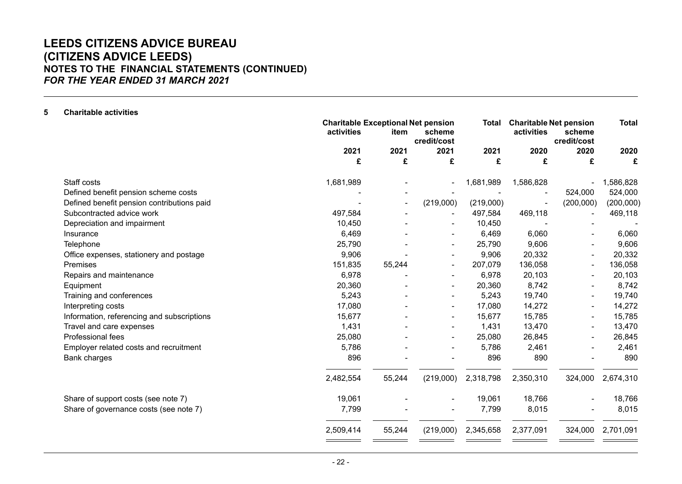# **LEEDS CITIZENS ADVICE BUREAU (CITIZENS ADVICE LEEDS) NOTES TO THE FINANCIAL STATEMENTS (CONTINUED)** *FOR THE YEAR ENDED 31 MARCH 2021*

| 5 | <b>Charitable activities</b>               |                                                         |                |                          |           |                                             |                       |              |
|---|--------------------------------------------|---------------------------------------------------------|----------------|--------------------------|-----------|---------------------------------------------|-----------------------|--------------|
|   |                                            | <b>Charitable Exceptional Net pension</b><br>activities | item           | scheme<br>credit/cost    | Total     | <b>Charitable Net pension</b><br>activities | scheme<br>credit/cost | <b>Total</b> |
|   |                                            | 2021                                                    | 2021           | 2021                     | 2021      | 2020                                        | 2020                  | 2020         |
|   |                                            | £                                                       | £              | £                        | £         | £                                           | £                     | £            |
|   | Staff costs                                | 1,681,989                                               |                |                          | 1,681,989 | 1,586,828                                   |                       | 1,586,828    |
|   | Defined benefit pension scheme costs       |                                                         |                |                          |           |                                             | 524,000               | 524,000      |
|   | Defined benefit pension contributions paid |                                                         | $\blacksquare$ | (219,000)                | (219,000) |                                             | (200,000)             | (200,000)    |
|   | Subcontracted advice work                  | 497,584                                                 |                |                          | 497,584   | 469,118                                     |                       | 469,118      |
|   | Depreciation and impairment                | 10,450                                                  |                |                          | 10,450    |                                             |                       |              |
|   | Insurance                                  | 6,469                                                   |                |                          | 6,469     | 6,060                                       |                       | 6,060        |
|   | Telephone                                  | 25,790                                                  |                |                          | 25,790    | 9,606                                       |                       | 9,606        |
|   | Office expenses, stationery and postage    | 9,906                                                   |                |                          | 9,906     | 20,332                                      |                       | 20,332       |
|   | Premises                                   | 151,835                                                 | 55,244         |                          | 207,079   | 136,058                                     |                       | 136,058      |
|   | Repairs and maintenance                    | 6,978                                                   |                |                          | 6,978     | 20,103                                      |                       | 20,103       |
|   | Equipment                                  | 20,360                                                  |                |                          | 20,360    | 8,742                                       |                       | 8,742        |
|   | Training and conferences                   | 5,243                                                   |                |                          | 5,243     | 19,740                                      |                       | 19,740       |
|   | Interpreting costs                         | 17,080                                                  |                | $\overline{\phantom{a}}$ | 17,080    | 14,272                                      |                       | 14,272       |
|   | Information, referencing and subscriptions | 15,677                                                  |                |                          | 15,677    | 15,785                                      |                       | 15,785       |
|   | Travel and care expenses                   | 1,431                                                   |                |                          | 1,431     | 13,470                                      |                       | 13,470       |
|   | Professional fees                          | 25,080                                                  |                |                          | 25,080    | 26,845                                      |                       | 26,845       |
|   | Employer related costs and recruitment     | 5,786                                                   |                |                          | 5,786     | 2,461                                       |                       | 2,461        |
|   | <b>Bank charges</b>                        | 896                                                     |                |                          | 896       | 890                                         |                       | 890          |
|   |                                            | 2,482,554                                               | 55,244         | (219,000)                | 2,318,798 | 2,350,310                                   | 324,000               | 2,674,310    |
|   | Share of support costs (see note 7)        | 19,061                                                  |                |                          | 19,061    | 18,766                                      |                       | 18,766       |
|   | Share of governance costs (see note 7)     | 7,799                                                   |                |                          | 7,799     | 8,015                                       |                       | 8,015        |
|   |                                            | 2,509,414                                               | 55,244         | (219,000)                | 2,345,658 | 2,377,091                                   | 324,000               | 2,701,091    |
|   |                                            |                                                         |                |                          |           |                                             |                       |              |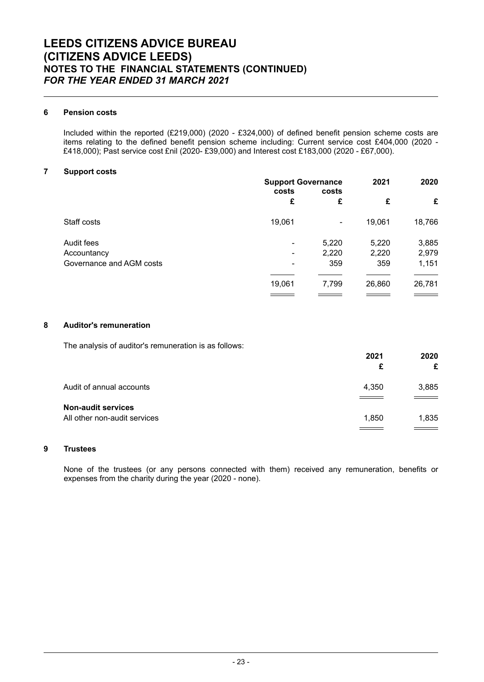## **6 Pension costs**

Included within the reported (£219,000) (2020 - £324,000) of defined benefit pension scheme costs are items relating to the defined benefit pension scheme including: Current service cost £404,000 (2020 - £418,000); Past service cost £nil (2020- £39,000) and Interest cost £183,000 (2020 - £67,000).

### **7 Support costs**

|                          | <b>Support Governance</b> | 2021  | 2020   |        |
|--------------------------|---------------------------|-------|--------|--------|
|                          | costs                     | costs |        |        |
|                          | £                         | £     | £      | £      |
| Staff costs              | 19,061                    | ۰     | 19,061 | 18,766 |
| Audit fees               | ۰                         | 5,220 | 5,220  | 3,885  |
| Accountancy              | ۰                         | 2,220 | 2,220  | 2,979  |
| Governance and AGM costs |                           | 359   | 359    | 1,151  |
|                          |                           |       |        |        |
|                          | 19,061                    | 7,799 | 26,860 | 26,781 |
|                          |                           |       |        |        |

### **8 Auditor's remuneration**

The analysis of auditor's remuneration is as follows:

|                                                           | 2021<br>£ | 2020<br>£ |
|-----------------------------------------------------------|-----------|-----------|
| Audit of annual accounts                                  | 4,350     | 3,885     |
| <b>Non-audit services</b><br>All other non-audit services | 1,850     | 1,835     |

## **9 Trustees**

None of the trustees (or any persons connected with them) received any remuneration, benefits or expenses from the charity during the year (2020 - none).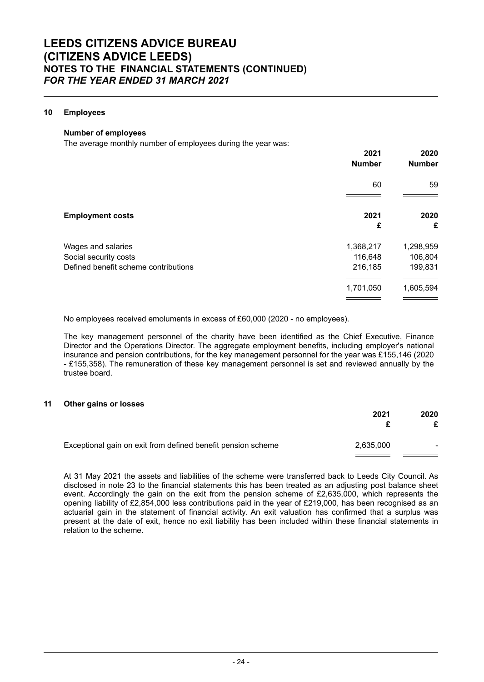## **10 Employees**

#### **Number of employees**

The average monthly number of employees during the year was:

|                                      | 2021<br><b>Number</b> | 2020<br><b>Number</b> |
|--------------------------------------|-----------------------|-----------------------|
|                                      | 60                    | 59                    |
| <b>Employment costs</b>              | 2021<br>£             | 2020<br>£             |
| Wages and salaries                   | 1,368,217             | 1,298,959             |
| Social security costs                | 116,648               | 106,804               |
| Defined benefit scheme contributions | 216,185               | 199,831               |
|                                      | 1,701,050             | 1,605,594             |

No employees received emoluments in excess of £60,000 (2020 - no employees).

The key management personnel of the charity have been identified as the Chief Executive, Finance Director and the Operations Director. The aggregate employment benefits, including employer's national insurance and pension contributions, for the key management personnel for the year was £155,146 (2020 - £155,358). The remuneration of these key management personnel is set and reviewed annually by the trustee board.

#### **11 Other gains or losses**

|                                                              | 2021      | 2020 |
|--------------------------------------------------------------|-----------|------|
| Exceptional gain on exit from defined benefit pension scheme | 2,635,000 |      |

At 31 May 2021 the assets and liabilities of the scheme were transferred back to Leeds City Council. As disclosed in note 23 to the financial statements this has been treated as an adjusting post balance sheet event. Accordingly the gain on the exit from the pension scheme of £2,635,000, which represents the opening liability of £2,854,000 less contributions paid in the year of £219,000, has been recognised as an actuarial gain in the statement of financial activity. An exit valuation has confirmed that a surplus was present at the date of exit, hence no exit liability has been included within these financial statements in relation to the scheme.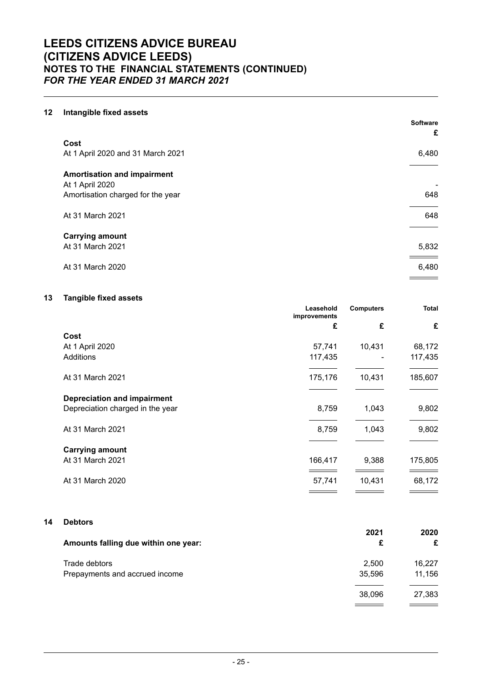# **LEEDS CITIZENS ADVICE BUREAU (CITIZENS ADVICE LEEDS) NOTES TO THE FINANCIAL STATEMENTS (CONTINUED)** *FOR THE YEAR ENDED 31 MARCH 2021*

# **12 Intangible fixed assets**

|                                    | <b>Software</b><br>£ |
|------------------------------------|----------------------|
| Cost                               |                      |
| At 1 April 2020 and 31 March 2021  | 6,480                |
| <b>Amortisation and impairment</b> |                      |
| At 1 April 2020                    |                      |
| Amortisation charged for the year  | 648                  |
| At 31 March 2021                   | 648                  |
| <b>Carrying amount</b>             |                      |
| At 31 March 2021                   | 5,832                |
| At 31 March 2020                   | 6,480                |
|                                    |                      |

# **13 Tangible fixed assets**

|                                    | Leasehold<br>improvements | <b>Computers</b> | <b>Total</b> |
|------------------------------------|---------------------------|------------------|--------------|
|                                    | £                         | £                | £            |
| Cost                               |                           |                  |              |
| At 1 April 2020                    | 57,741                    | 10,431           | 68,172       |
| <b>Additions</b>                   | 117,435                   |                  | 117,435      |
| At 31 March 2021                   | 175,176                   | 10,431           | 185,607      |
| <b>Depreciation and impairment</b> |                           |                  |              |
| Depreciation charged in the year   | 8,759                     | 1,043            | 9,802        |
| At 31 March 2021                   | 8,759                     | 1,043            | 9,802        |
| <b>Carrying amount</b>             |                           |                  |              |
| At 31 March 2021                   | 166,417                   | 9,388            | 175,805      |
| At 31 March 2020                   | 57,741                    | 10,431           | 68,172       |
|                                    |                           |                  |              |

# **14 Debtors**

| Amounts falling due within one year: | 2021<br>£ | 2020<br>£ |
|--------------------------------------|-----------|-----------|
| Trade debtors                        | 2,500     | 16,227    |
| Prepayments and accrued income       | 35,596    | 11,156    |
|                                      | 38,096    | 27,383    |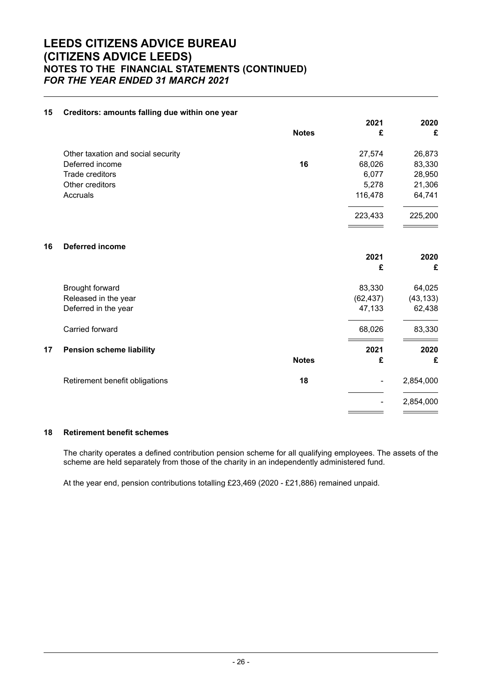# **LEEDS CITIZENS ADVICE BUREAU (CITIZENS ADVICE LEEDS) NOTES TO THE FINANCIAL STATEMENTS (CONTINUED)** *FOR THE YEAR ENDED 31 MARCH 2021*

| 15 | Creditors: amounts falling due within one year |              |           |           |
|----|------------------------------------------------|--------------|-----------|-----------|
|    |                                                |              | 2021      | 2020      |
|    |                                                | <b>Notes</b> | £         | £         |
|    | Other taxation and social security             |              | 27,574    | 26,873    |
|    | Deferred income                                | 16           | 68,026    | 83,330    |
|    | Trade creditors                                |              | 6,077     | 28,950    |
|    | Other creditors                                |              | 5,278     | 21,306    |
|    | Accruals                                       |              | 116,478   | 64,741    |
|    |                                                |              | 223,433   | 225,200   |
|    |                                                |              |           |           |
| 16 | <b>Deferred income</b>                         |              |           |           |
|    |                                                |              | 2021      | 2020      |
|    |                                                |              | £         | £         |
|    | Brought forward                                |              | 83,330    | 64,025    |
|    | Released in the year                           |              | (62, 437) | (43, 133) |
|    | Deferred in the year                           |              | 47,133    | 62,438    |
|    | Carried forward                                |              | 68,026    | 83,330    |
| 17 | <b>Pension scheme liability</b>                |              | 2021      | 2020      |
|    |                                                | <b>Notes</b> | £         | £         |
|    | Retirement benefit obligations                 | 18           |           | 2,854,000 |
|    |                                                |              |           |           |
|    |                                                |              |           | 2,854,000 |
|    |                                                |              |           |           |

#### **15 Creditors: amounts falling due within one year**

## **18 Retirement benefit schemes**

The charity operates a defined contribution pension scheme for all qualifying employees. The assets of the scheme are held separately from those of the charity in an independently administered fund.

At the year end, pension contributions totalling £23,469 (2020 - £21,886) remained unpaid.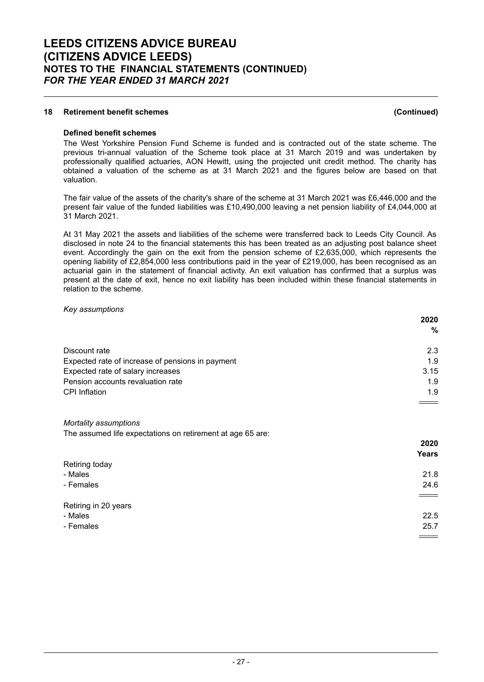## **18 Retirement benefit schemes (Continued)**

#### **Defined benefit schemes**

The West Yorkshire Pension Fund Scheme is funded and is contracted out of the state scheme. The previous tri-annual valuation of the Scheme took place at 31 March 2019 and was undertaken by professionally qualified actuaries, AON Hewitt, using the projected unit credit method. The charity has obtained a valuation of the scheme as at 31 March 2021 and the figures below are based on that valuation.

The fair value of the assets of the charity's share of the scheme at 31 March 2021 was £6,446,000 and the present fair value of the funded liabilities was £10,490,000 leaving a net pension liability of £4,044,000 at 31 March 2021.

At 31 May 2021 the assets and liabilities of the scheme were transferred back to Leeds City Council. As disclosed in note 24 to the financial statements this has been treated as an adjusting post balance sheet event. Accordingly the gain on the exit from the pension scheme of £2,635,000, which represents the opening liability of £2,854,000 less contributions paid in the year of £219,000, has been recognised as an actuarial gain in the statement of financial activity. An exit valuation has confirmed that a surplus was present at the date of exit, hence no exit liability has been included within these financial statements in relation to the scheme.

#### *Key assumptions*

|                                                  | 2020 |
|--------------------------------------------------|------|
|                                                  | %    |
| Discount rate                                    | 2.3  |
| Expected rate of increase of pensions in payment | 1.9  |
| Expected rate of salary increases                | 3.15 |
| Pension accounts revaluation rate                | 1.9  |
| <b>CPI</b> Inflation                             | 1.9  |
|                                                  |      |

#### *Mortality assumptions*

The assumed life expectations on retirement at age 65 are:

|                      | 2020              |
|----------------------|-------------------|
|                      | <b>Years</b>      |
| Retiring today       |                   |
| - Males              | 21.8              |
| - Females            | 24.6              |
|                      | $\qquad \qquad =$ |
| Retiring in 20 years |                   |
| - Males              | 22.5              |
| - Females            | 25.7              |
|                      | $=$               |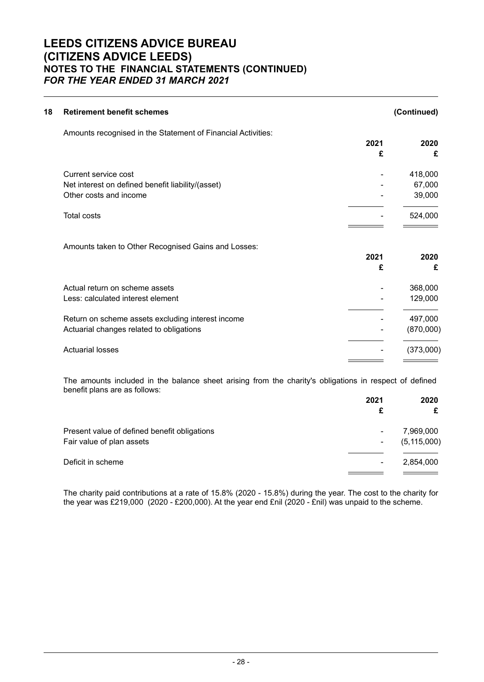# **LEEDS CITIZENS ADVICE BUREAU (CITIZENS ADVICE LEEDS) NOTES TO THE FINANCIAL STATEMENTS (CONTINUED)** *FOR THE YEAR ENDED 31 MARCH 2021*

| (Continued) |      | <b>Retirement benefit schemes</b>                            |
|-------------|------|--------------------------------------------------------------|
|             |      | Amounts recognised in the Statement of Financial Activities: |
| 2020        | 2021 |                                                              |
| £           | £    |                                                              |
| 418,000     |      | Current service cost                                         |
| 67,000      |      | Net interest on defined benefit liability/(asset)            |
| 39,000      |      | Other costs and income                                       |
| 524,000     |      | <b>Total costs</b>                                           |
|             |      | Amounts taken to Other Recognised Gains and Losses:          |
| 2020        | 2021 |                                                              |
| £           | £    |                                                              |
| 368,000     |      | Actual return on scheme assets                               |
| 129,000     |      | Less: calculated interest element                            |
| 497,000     |      | Return on scheme assets excluding interest income            |
| (870,000)   |      | Actuarial changes related to obligations                     |
|             |      |                                                              |

The amounts included in the balance sheet arising from the charity's obligations in respect of defined benefit plans are as follows:

|                                              | 2021 | 2020          |
|----------------------------------------------|------|---------------|
|                                              | £    | £             |
| Present value of defined benefit obligations |      | 7,969,000     |
| Fair value of plan assets                    | ۰    | (5, 115, 000) |
|                                              |      |               |
| Deficit in scheme                            |      | 2,854,000     |
|                                              |      |               |

The charity paid contributions at a rate of 15.8% (2020 - 15.8%) during the year. The cost to the charity for the year was £219,000 (2020 - £200,000). At the year end £nil (2020 - £nil) was unpaid to the scheme.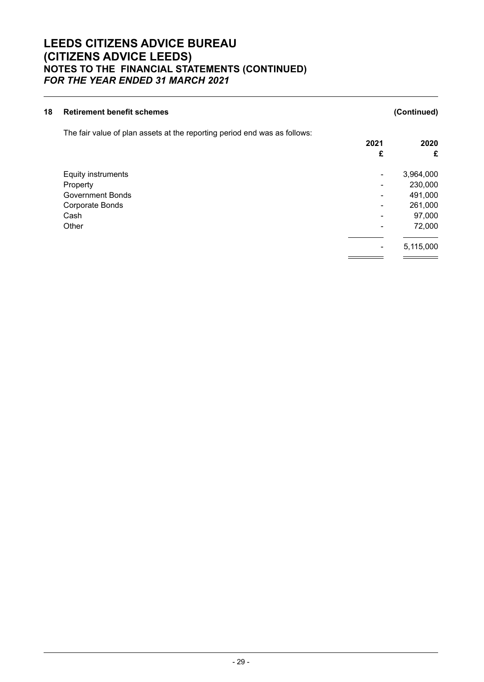# **LEEDS CITIZENS ADVICE BUREAU (CITIZENS ADVICE LEEDS) NOTES TO THE FINANCIAL STATEMENTS (CONTINUED)** *FOR THE YEAR ENDED 31 MARCH 2021*

| 18 | <b>Retirement benefit schemes</b>                                         |      | (Continued) |
|----|---------------------------------------------------------------------------|------|-------------|
|    | The fair value of plan assets at the reporting period end was as follows: |      |             |
|    |                                                                           | 2021 | 2020        |
|    |                                                                           | £    | £           |
|    | <b>Equity instruments</b>                                                 | ۰    | 3,964,000   |
|    | Property                                                                  |      | 230,000     |
|    | Government Bonds                                                          |      | 491,000     |
|    | Corporate Bonds                                                           |      | 261,000     |
|    | Cash                                                                      |      | 97,000      |
|    | Other                                                                     |      | 72,000      |
|    |                                                                           |      | 5,115,000   |
|    |                                                                           |      |             |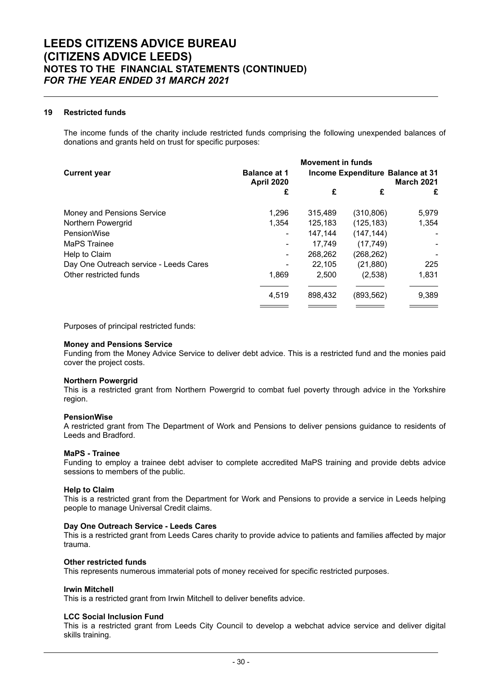## **19 Restricted funds**

The income funds of the charity include restricted funds comprising the following unexpended balances of donations and grants held on trust for specific purposes:

|                                        | <b>Movement in funds</b>                 |         |                                  |                   |
|----------------------------------------|------------------------------------------|---------|----------------------------------|-------------------|
| <b>Current year</b>                    | <b>Balance at 1</b><br><b>April 2020</b> |         | Income Expenditure Balance at 31 | <b>March 2021</b> |
|                                        | £                                        | £       | £                                | £                 |
| Money and Pensions Service             | 1.296                                    | 315,489 | (310, 806)                       | 5,979             |
| Northern Powergrid                     | 1.354                                    | 125,183 | (125, 183)                       | 1.354             |
| PensionWise                            | ۰                                        | 147.144 | (147, 144)                       |                   |
| MaPS Trainee                           | ۰                                        | 17,749  | (17, 749)                        |                   |
| Help to Claim                          | ۰                                        | 268,262 | (268,262)                        |                   |
| Day One Outreach service - Leeds Cares |                                          | 22,105  | (21,880)                         | 225               |
| Other restricted funds                 | 1,869                                    | 2,500   | (2,538)                          | 1,831             |
|                                        | 4,519                                    | 898,432 | (893,562)                        | 9,389             |
|                                        |                                          |         |                                  |                   |

Purposes of principal restricted funds:

#### **Money and Pensions Service**

Funding from the Money Advice Service to deliver debt advice. This is a restricted fund and the monies paid cover the project costs.

#### **Northern Powergrid**

This is a restricted grant from Northern Powergrid to combat fuel poverty through advice in the Yorkshire region.

#### **PensionWise**

A restricted grant from The Department of Work and Pensions to deliver pensions guidance to residents of Leeds and Bradford.

#### **MaPS - Trainee**

Funding to employ a trainee debt adviser to complete accredited MaPS training and provide debts advice sessions to members of the public.

#### **Help to Claim**

This is a restricted grant from the Department for Work and Pensions to provide a service in Leeds helping people to manage Universal Credit claims.

#### **Day One Outreach Service - Leeds Cares**

This is a restricted grant from Leeds Cares charity to provide advice to patients and families affected by major trauma.

#### **Other restricted funds**

This represents numerous immaterial pots of money received for specific restricted purposes.

#### **Irwin Mitchell**

This is a restricted grant from Irwin Mitchell to deliver benefits advice.

#### **LCC Social Inclusion Fund**

This is a restricted grant from Leeds City Council to develop a webchat advice service and deliver digital skills training.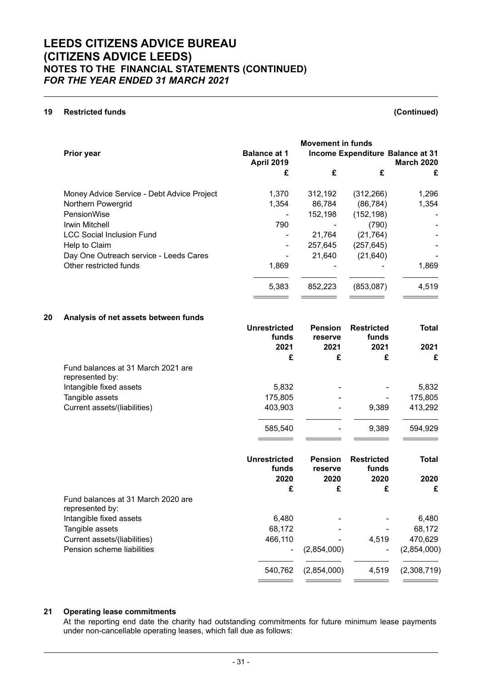## **19 Restricted funds (Continued)**

| Prior year                                 | <b>Balance at 1</b><br><b>April 2019</b> | <b>Movement in funds</b> | Income Expenditure Balance at 31<br><b>March 2020</b> |       |
|--------------------------------------------|------------------------------------------|--------------------------|-------------------------------------------------------|-------|
|                                            | £                                        | £                        | £                                                     | £     |
| Money Advice Service - Debt Advice Project | 1,370                                    | 312,192                  | (312, 266)                                            | 1,296 |
| Northern Powergrid                         | 1.354                                    | 86,784                   | (86, 784)                                             | 1,354 |
| PensionWise                                |                                          | 152,198                  | (152, 198)                                            | ۰     |
| Irwin Mitchell                             | 790                                      |                          | (790)                                                 |       |
| <b>LCC Social Inclusion Fund</b>           |                                          | 21,764                   | (21, 764)                                             |       |
| Help to Claim                              |                                          | 257,645                  | (257, 645)                                            |       |
| Day One Outreach service - Leeds Cares     |                                          | 21,640                   | (21, 640)                                             |       |
| Other restricted funds                     | 1,869                                    |                          |                                                       | 1,869 |
|                                            | 5,383                                    | 852,223                  | (853,087)                                             | 4,519 |

## **20 Analysis of net assets between funds**

|                                                       | <b>Unrestricted</b><br>funds<br>2021 | <b>Pension</b><br>reserve<br>2021 | <b>Restricted</b><br>funds<br>2021 | <b>Total</b><br>2021 |
|-------------------------------------------------------|--------------------------------------|-----------------------------------|------------------------------------|----------------------|
|                                                       | £                                    | £                                 | £                                  | £                    |
| Fund balances at 31 March 2021 are<br>represented by: |                                      |                                   |                                    |                      |
| Intangible fixed assets                               | 5,832                                |                                   |                                    | 5,832                |
| Tangible assets                                       | 175,805                              |                                   |                                    | 175,805              |
| Current assets/(liabilities)                          | 403,903                              |                                   | 9,389                              | 413,292              |
|                                                       | 585,540                              |                                   | 9,389                              | 594,929              |
|                                                       |                                      |                                   |                                    |                      |
|                                                       | <b>Unrestricted</b><br>funds         | <b>Pension</b><br>reserve         | <b>Restricted</b><br>funds         | <b>Total</b>         |
|                                                       | 2020                                 | 2020                              | 2020                               | 2020                 |
|                                                       | £                                    | £                                 | £                                  | £                    |
|                                                       |                                      |                                   |                                    |                      |
| Fund balances at 31 March 2020 are<br>represented by: |                                      |                                   |                                    |                      |
| Intangible fixed assets                               | 6,480                                |                                   |                                    | 6,480                |
| Tangible assets                                       | 68,172                               |                                   |                                    | 68,172               |
| Current assets/(liabilities)                          | 466,110                              |                                   | 4,519                              | 470,629              |
| Pension scheme liabilities                            |                                      | (2,854,000)                       | ۰                                  | (2,854,000)          |
|                                                       | 540,762                              | (2,854,000)                       | 4,519                              | (2,308,719)          |

#### **21 Operating lease commitments**

At the reporting end date the charity had outstanding commitments for future minimum lease payments under non-cancellable operating leases, which fall due as follows: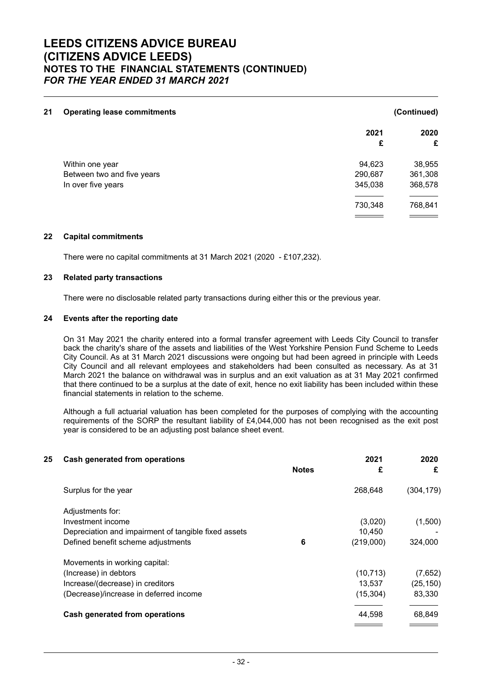| 21 | <b>Operating lease commitments</b> |         | (Continued) |
|----|------------------------------------|---------|-------------|
|    |                                    | 2021    | 2020        |
|    |                                    | £       | £           |
|    | Within one year                    | 94,623  | 38,955      |
|    | Between two and five years         | 290,687 | 361,308     |
|    | In over five years                 | 345,038 | 368,578     |
|    |                                    | 730,348 | 768,841     |
|    |                                    |         |             |

### **22 Capital commitments**

There were no capital commitments at 31 March 2021 (2020 - £107,232).

#### **23 Related party transactions**

There were no disclosable related party transactions during either this or the previous year.

#### **24 Events after the reporting date**

On 31 May 2021 the charity entered into a formal transfer agreement with Leeds City Council to transfer back the charity's share of the assets and liabilities of the West Yorkshire Pension Fund Scheme to Leeds City Council. As at 31 March 2021 discussions were ongoing but had been agreed in principle with Leeds City Council and all relevant employees and stakeholders had been consulted as necessary. As at 31 March 2021 the balance on withdrawal was in surplus and an exit valuation as at 31 May 2021 confirmed that there continued to be a surplus at the date of exit, hence no exit liability has been included within these financial statements in relation to the scheme.

Although a full actuarial valuation has been completed for the purposes of complying with the accounting requirements of the SORP the resultant liability of £4,044,000 has not been recognised as the exit post year is considered to be an adjusting post balance sheet event.

| 25 | <b>Cash generated from operations</b>                |              | 2021      | 2020       |
|----|------------------------------------------------------|--------------|-----------|------------|
|    |                                                      | <b>Notes</b> | £         | £          |
|    | Surplus for the year                                 |              | 268,648   | (304, 179) |
|    | Adjustments for:                                     |              |           |            |
|    | Investment income                                    |              | (3,020)   | (1,500)    |
|    | Depreciation and impairment of tangible fixed assets |              | 10.450    |            |
|    | Defined benefit scheme adjustments                   | 6            | (219,000) | 324,000    |
|    | Movements in working capital:                        |              |           |            |
|    | (Increase) in debtors                                |              | (10, 713) | (7,652)    |
|    | Increase/(decrease) in creditors                     |              | 13,537    | (25, 150)  |
|    | (Decrease)/increase in deferred income               |              | (15, 304) | 83,330     |
|    | Cash generated from operations                       |              | 44,598    | 68,849     |
|    |                                                      |              |           |            |